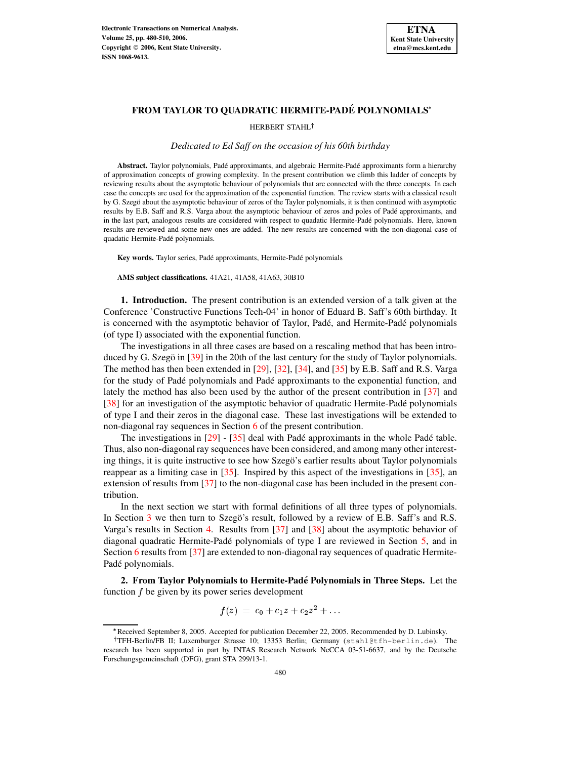

# **FROM TAYLOR TO QUADRATIC HERMITE-PADE´ POLYNOMIALS**

HERBERT STAHL<sup>†</sup>

*Dedicated to Ed Saff on the occasion of his 60th birthday*

**Abstract.** Taylor polynomials, Pade´ approximants, and algebraic Hermite-Pade´ approximants form a hierarchy of approximation concepts of growing complexity. In the present contribution we climb this ladder of concepts by reviewing results about the asymptotic behaviour of polynomials that are connected with the three concepts. In each case the concepts are used for the approximation of the exponential function. The review starts with a classical result by G. Szegö about the asymptotic behaviour of zeros of the Taylor polynomials, it is then continued with asymptotic results by E.B. Saff and R.S. Varga about the asymptotic behaviour of zeros and poles of Pade´ approximants, and in the last part, analogous results are considered with respect to quadatic Hermite-Padé polynomials. Here, known results are reviewed and some new ones are added. The new results are concerned with the non-diagonal case of quadatic Hermite-Pade´ polynomials.

Key words. Taylor series, Padé approximants, Hermite-Padé polynomials

**AMS subject classifications.** 41A21, 41A58, 41A63, 30B10

**1. Introduction.** The present contribution is an extended version of a talk given at the Conference 'Constructive Functions Tech-04' in honor of Eduard B. Saff's 60th birthday. It is concerned with the asymptotic behavior of Taylor, Padé, and Hermite-Padé polynomials (of type I) associated with the exponential function.

The investigations in all three cases are based on a rescaling method that has been intro-duced by G. Szegö in [\[39\]](#page-30-0) in the 20th of the last century for the study of Taylor polynomials. The method has then been extended in [\[29\]](#page-29-0), [\[32\]](#page-29-1), [\[34\]](#page-29-2), and [\[35\]](#page-30-1) by E.B. Saff and R.S. Varga for the study of Pade´ polynomials and Pade´ approximants to the exponential function, and lately the method has also been used by the author of the present contribution in [\[37\]](#page-30-2) and [\[38\]](#page-30-3) for an investigation of the asymptotic behavior of quadratic Hermite-Pade´ polynomials of type I and their zeros in the diagonal case. These last investigations will be extended to non-diagonal ray sequences in Section [6](#page-17-0) of the present contribution.

The investigations in  $[29] - [35]$  $[29] - [35]$  $[29] - [35]$  deal with Padé approximants in the whole Padé table. Thus, also non-diagonal ray sequences have been considered, and among many other interesting things, it is quite instructive to see how Szego's earlier results about Taylor polynomials reappear as a limiting case in [\[35\]](#page-30-1). Inspired by this aspect of the investigations in [\[35\]](#page-30-1), an extension of results from [\[37\]](#page-30-2) to the non-diagonal case has been included in the present contribution.

In the next section we start with formal definitions of all three types of polynomials. In Section [3](#page-4-0) we then turn to Szego's result, followed by a review of E.B. Saff's and R.S. Varga's results in Section [4.](#page-5-0) Results from [\[37\]](#page-30-2) and [\[38\]](#page-30-3) about the asymptotic behavior of diagonal quadratic Hermite-Pade´ polynomials of type I are reviewed in Section [5,](#page-9-0) and in Section [6](#page-17-0) results from [\[37\]](#page-30-2) are extended to non-diagonal ray sequences of quadratic Hermite-Padé polynomials.

**2. From Taylor Polynomials to Hermite-Pade´ Polynomials in Three Steps.** Let the function  $f$  be given by its power series development

$$
f(z) = c_0 + c_1 z + c_2 z^2 + \dots
$$

Received September 8, 2005. Accepted for publication December 22, 2005. Recommended by D. Lubinsky.

TFH-Berlin/FB II; Luxemburger Strasse 10; 13353 Berlin; Germany (stahl@tfh-berlin.de). The research has been supported in part by INTAS Research Network NeCCA 03-51-6637, and by the Deutsche Forschungsgemeinschaft (DFG), grant STA 299/13-1.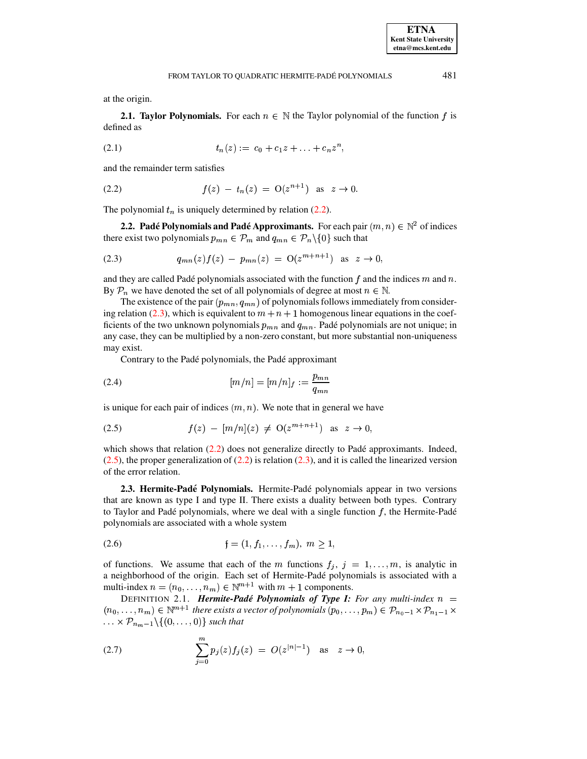481

at the origin.

**2.1. Taylor Polynomials.** For each  $n \in \mathbb{N}$  the Taylor polynomial of the function f is defined as

$$
(2.1) \t tn(z) := c0 + c1z + ... + cnzn,
$$

<span id="page-1-0"></span>and the remainder term satisfies

(2.2) 
$$
f(z) - t_n(z) = O(z^{n+1}) \text{ as } z \to 0.
$$

<span id="page-1-6"></span>The polynomial  $t_n$  is uniquely determined by relation (2.2).

<span id="page-1-1"></span>2.2. Padé Polynomials and Padé Approximants. For each pair  $(m, n) \in \mathbb{N}^2$  of indices there exist two polynomials  $p_{mn} \in \mathcal{P}_m$  and  $q_{mn} \in \mathcal{P}_n \setminus \{0\}$  such that

(2.3) 
$$
q_{mn}(z)f(z) - p_{mn}(z) = O(z^{m+n+1}) \text{ as } z \to 0
$$

and they are called Padé polynomials associated with the function  $f$  and the indices  $m$  and  $n$ . By  $\mathcal{P}_n$  we have denoted the set of all polynomials of degree at most  $n \in \mathbb{N}$ .

The existence of the pair  $(p_{mn}, q_{mn})$  of polynomials follows immediately from considering relation (2.3), which is equivalent to  $m + n + 1$  homogenous linear equations in the coefficients of the two unknown polynomials  $p_{mn}$  and  $q_{mn}$ . Padé polynomials are not unique; in any case, they can be multiplied by a non-zero constant, but more substantial non-uniqueness may exist.

<span id="page-1-5"></span><span id="page-1-2"></span>Contrary to the Padé polynomials, the Padé approximant

(2.4) 
$$
[m/n] = [m/n]_f := \frac{p_{mn}}{q_{mn}}
$$

is unique for each pair of indices  $(m, n)$ . We note that in general we have

(2.5) 
$$
f(z) - [m/n](z) \neq O(z^{m+n+1}) \text{ as } z \to 0,
$$

which shows that relation  $(2.2)$  does not generalize directly to Padé approximants. Indeed,  $(2.5)$ , the proper generalization of  $(2.2)$  is relation  $(2.3)$ , and it is called the linearized version of the error relation.

<span id="page-1-7"></span>2.3. Hermite-Padé Polynomials. Hermite-Padé polynomials appear in two versions that are known as type I and type II. There exists a duality between both types. Contrary to Taylor and Padé polynomials, where we deal with a single function  $f$ , the Hermite-Padé polynomials are associated with a whole system

<span id="page-1-4"></span>
$$
(2.6) \t f = (1, f_1, \dots, f_m), \t m \ge 1,
$$

of functions. We assume that each of the m functions  $f_i$ ,  $j = 1,...,m$ , is analytic in a neighborhood of the origin. Each set of Hermite-Padé polynomials is associated with a multi-index  $n = (n_0, ..., n_m) \in \mathbb{N}^{m+1}$  with  $m + 1$  components.

<span id="page-1-8"></span>DEFINITION 2.1. Hermite-Padé Polynomials of Type I: For any multi-index  $n =$  $(n_0,\ldots,n_m)\in\mathbb{N}^{m+1}$  there exists a vector of polynomials  $(p_0,\ldots,p_m)\in\mathcal{P}_{n_0-1}\times\mathcal{P}_{n_1-1}\times\mathcal{P}_{n_2-1}$  $\ldots \times \mathcal{P}_{n_m-1} \setminus \{(0,\ldots,0)\}$  such that

<span id="page-1-3"></span>(2.7) 
$$
\sum_{j=0}^{m} p_j(z) f_j(z) = O(z^{|n|-1}) \text{ as } z \to 0,
$$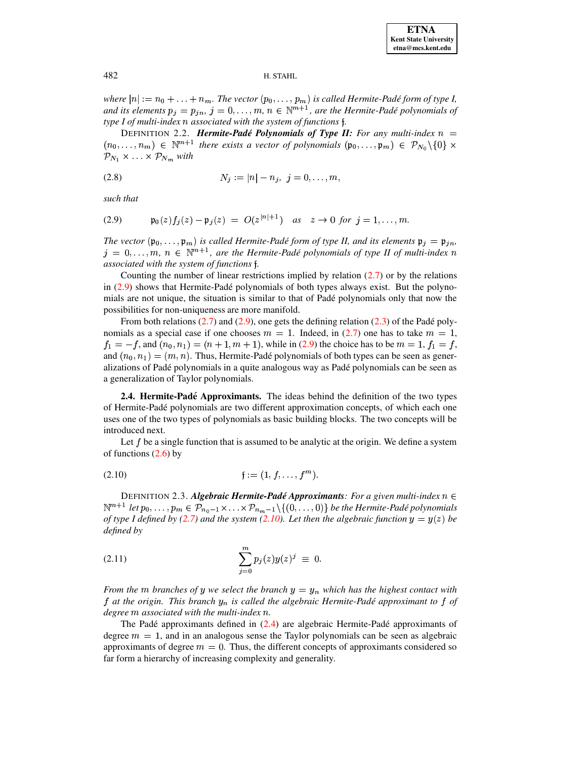*where*  $|n| := n_0 + \ldots + n_m$ . The vector  $(p_0, \ldots, p_m)$  is called Hermite-Padé form of type I, and its elements  $p_j = p_{jn}$ ,  $j = 0, \ldots, m$ ,  $n \in \mathbb{N}^{m+1}$ , are the Hermite-Padé polynomials of *type I of multi-index associated with the system of functions* `*.*

<span id="page-2-2"></span>**DEFINITION 2.2. Hermite-Padé Polynomials of Type II:** For any multi-index  $n =$  $(n_0, \ldots, n_m) \in \mathbb{N}^{m+1}$  there exists a vector of polynomials  $(\mathfrak{p}_0, \ldots, \mathfrak{p}_m) \in \mathcal{P}_{N_0} \setminus \{0\} \times$  $\mathcal{P}_{N_1} \times \ldots \times \mathcal{P}_{N_m}$  with

$$
(2.8) \t\t N_j := |n| - n_j, \ j = 0, \ldots, m,
$$

<span id="page-2-0"></span>*such that*

(2.9) 
$$
\mathfrak{p}_0(z) f_j(z) - \mathfrak{p}_j(z) = O(z^{|n|+1})
$$
 as  $z \to 0$  for  $j = 1, ..., m$ .

*The* vector  $(\mathfrak{p}_0, \ldots, \mathfrak{p}_m)$  is called *Hermite-Padé* form of type *II,* and its elements  $\mathfrak{p}_j = \mathfrak{p}_{jn}$ ,  $j = 0, \ldots, m, n \in \mathbb{N}^{m+1}$ , are the Hermite-Padé polynomials of type II of multi-index n *associated with the system of functions* `*.*

Counting the number of linear restrictions implied by relation  $(2.7)$  or by the relations in  $(2.9)$  shows that Hermite-Padé polynomials of both types always exist. But the polynomials are not unique, the situation is similar to that of Padé polynomials only that now the possibilities for non-uniqueness are more manifold.

From both relations  $(2.7)$  and  $(2.9)$ , one gets the defining relation  $(2.3)$  of the Padé polynomials as a special case if one chooses  $m = 1$ . Indeed, in [\(2.7\)](#page-1-3) one has to take  $m = 1$ ,  $f_1 = -f$ , and  $(n_0, n_1) = (n + 1, m + 1)$ , while in [\(2.9\)](#page-2-0) the choice has to be  $m = 1$ ,  $f_1 = f$ , and  $(n_0, n_1) = (m, n)$ . Thus, Hermite-Padé polynomials of both types can be seen as generalizations of Pade´ polynomials in a quite analogous way as Pade´ polynomials can be seen as a generalization of Taylor polynomials.

**2.4. Hermite-Pade´ Approximants.** The ideas behind the definition of the two types of Hermite-Pade´ polynomials are two different approximation concepts, of which each one uses one of the two types of polynomials as basic building blocks. The two concepts will be introduced next.

<span id="page-2-1"></span>Let  $f$  be a single function that is assumed to be analytic at the origin. We define a system of functions [\(2.6\)](#page-1-4) by

(2.10) `&( XLS . - . -? 

DEFINITION 2.3. *Algebraic Hermite-Pade´ Approximants: For a given multi-index*  $\mathbb{N}^{m+1}$  let  $p_0,\ldots,p_m\in\mathcal{P}_{n_0-1}\times\ldots\times\mathcal{P}_{n_m-1}\backslash\{(0,\ldots,0)\}$  be the Hermite-Padé polynomials *of type I* defined by [\(2.7\)](#page-1-3) and the system [\(2.10\)](#page-2-1). Let then the algebraic function  $y = y(z)$  be *defined by*

(2.11) 
$$
\sum_{j=0}^{m} p_j(z) y(z)^j \equiv 0.
$$

*From the m branches of y we select the branch*  $y = y_n$  *which has the highest contact with* f at the origin. This branch  $y_n$  is called the algebraic Hermite-Padé approximant to f of *degree* <sup>&</sup>lt; *associated with the multi-index .*

The Padé approximants defined in  $(2.4)$  are algebraic Hermite-Padé approximants of degree  $m = 1$ , and in an analogous sense the Taylor polynomials can be seen as algebraic approximants of degree  $m=0$ . Thus, the different concepts of approximants considered so far form a hierarchy of increasing complexity and generality.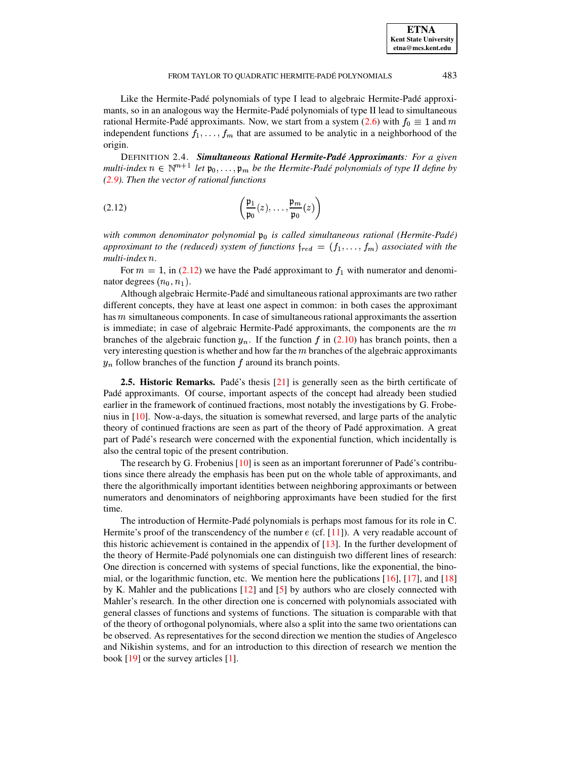### FROM TAYLOR TO QUADRATIC HERMITE-PADÉ POLYNOMIALS 483

Like the Hermite-Padé polynomials of type I lead to algebraic Hermite-Padé approximants, so in an analogous way the Hermite-Padé polynomials of type II lead to simultaneous rational Hermite-Padé approximants. Now, we start from a system [\(2.6\)](#page-1-4) with  $f_0 \equiv 1$  and  $m$ independent functions  $f_1, \ldots, f_m$  that are assumed to be analytic in a neighborhood of the origin.

DEFINITION 2.4. *Simultaneous Rational Hermite-Pade´ Approximants: For a given*  $m$ ulti-index  $n \in \mathbb{N}^{m+1}$  let  $\mathfrak{p}_0, \ldots, \mathfrak{p}_m$  be the Hermite-Padé polynomials of type II define by *[\(2.9\)](#page-2-0). Then the vector of rational functions*

<span id="page-3-0"></span>
$$
(2.12) \qquad \qquad \left(\frac{\mathfrak{p}_1}{\mathfrak{p}_0}(z),\ldots,\frac{\mathfrak{p}_m}{\mathfrak{p}_0}(z)\right)
$$

*with common denominator polynomial*  $\mathfrak{p}_0$  *is called simultaneous rational (Hermite-Padé) approximant* to the (reduced) system of functions  $\mathfrak{f}_{red} = (f_1, \ldots, f_m)$  associated with the  $multi-index n.$ 

For  $m = 1$ , in [\(2.12\)](#page-3-0) we have the Padé approximant to  $f_1$  with numerator and denominator degrees  $(n_0, n_1)$ .

Although algebraic Hermite-Pade´ and simultaneous rational approximants are two rather different concepts, they have at least one aspect in common: in both cases the approximant has  $m$  simultaneous components. In case of simultaneous rational approximants the assertion is immediate; in case of algebraic Hermite-Padé approximants, the components are the  $m$ branches of the algebraic function  $y_n$ . If the function f in [\(2.10\)](#page-2-1) has branch points, then a very interesting question is whether and how far the  $m$  branches of the algebraic approximants  $y_n$  follow branches of the function f around its branch points.

**2.5. Historic Remarks.** Padé's thesis [\[21\]](#page-29-3) is generally seen as the birth certificate of Padé approximants. Of course, important aspects of the concept had already been studied earlier in the framework of continued fractions, most notably the investigations by G. Frobenius in [\[10\]](#page-29-4). Now-a-days, the situation is somewhat reversed, and large parts of the analytic theory of continued fractions are seen as part of the theory of Pade´ approximation. A great part of Padé's research were concerned with the exponential function, which incidentally is also the central topic of the present contribution.

The research by G. Frobenius  $[10]$  is seen as an important forerunner of Padé's contributions since there already the emphasis has been put on the whole table of approximants, and there the algorithmically important identities between neighboring approximants or between numerators and denominators of neighboring approximants have been studied for the first time.

The introduction of Hermite-Padé polynomials is perhaps most famous for its role in C. Hermite's proof of the transcendency of the number  $e$  (cf. [\[11\]](#page-29-5)). A very readable account of this historic achievement is contained in the appendix of  $[13]$ . In the further development of the theory of Hermite-Pade´ polynomials one can distinguish two different lines of research: One direction is concerned with systems of special functions, like the exponential, the binomial, or the logarithmic function, etc. We mention here the publications [\[16\]](#page-29-7), [\[17\]](#page-29-8), and [\[18\]](#page-29-9) by K. Mahler and the publications [\[12\]](#page-29-10) and [\[5\]](#page-29-11) by authors who are closely connected with Mahler's research. In the other direction one is concerned with polynomials associated with general classes of functions and systems of functions. The situation is comparable with that of the theory of orthogonal polynomials, where also a split into the same two orientations can be observed. As representatives for the second direction we mention the studies of Angelesco and Nikishin systems, and for an introduction to this direction of research we mention the book  $[19]$  or the survey articles  $[1]$ .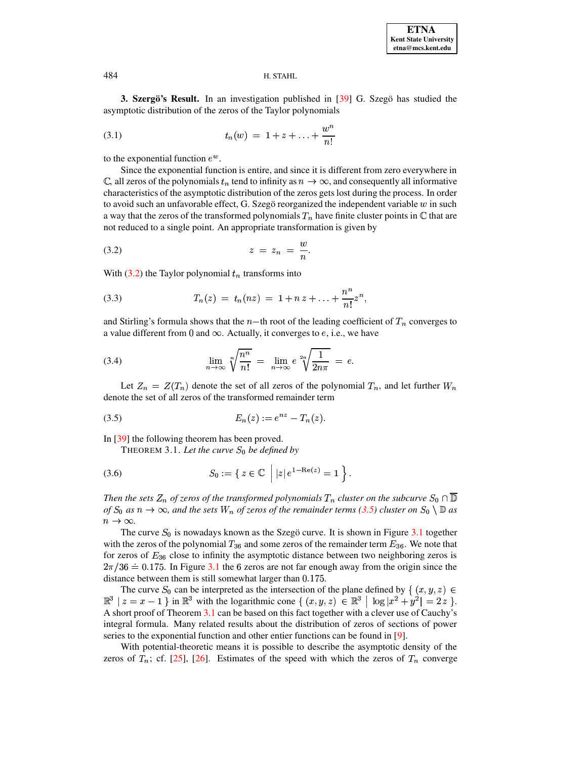<span id="page-4-0"></span>3. Szergö's Result. In an investigation published in [39] G. Szegö has studied the asymptotic distribution of the zeros of the Taylor polynomials

(3.1) 
$$
t_n(w) = 1 + z + \ldots + \frac{w^n}{n!}
$$

to the exponential function  $e^w$ .

Since the exponential function is entire, and since it is different from zero everywhere in C, all zeros of the polynomials  $t_n$  tend to infinity as  $n \to \infty$ , and consequently all informative characteristics of the asymptotic distribution of the zeros gets lost during the process. In order to avoid such an unfavorable effect, G. Szegö reorganized the independent variable  $w$  in such a way that the zeros of the transformed polynomials  $T_n$  have finite cluster points in  $\mathbb C$  that are not reduced to a single point. An appropriate transformation is given by

<span id="page-4-1"></span>
$$
(3.2) \t\t\t z = z_n = \frac{w}{n}.
$$

With  $(3.2)$  the Taylor polynomial  $t_n$  transforms into

(3.3) 
$$
T_n(z) = t_n(nz) = 1 + nz + \ldots + \frac{n^n}{n!}z^n,
$$

and Stirling's formula shows that the  $n-$ th root of the leading coefficient of  $T_n$  converges to a value different from 0 and  $\infty$ . Actually, it converges to e, i.e., we have

(3.4) 
$$
\lim_{n \to \infty} \sqrt[n]{\frac{n^n}{n!}} = \lim_{n \to \infty} e^{\frac{2n}{n}} \sqrt{\frac{1}{2n\pi}} = e
$$

Let  $Z_n = Z(T_n)$  denote the set of all zeros of the polynomial  $T_n$ , and let further  $W_n$ denote the set of all zeros of the transformed remainder term

(3.5) 
$$
E_n(z) := e^{nz} - T_n(z).
$$

<span id="page-4-3"></span>In  $[39]$  the following theorem has been proved.

<span id="page-4-4"></span><span id="page-4-2"></span>THEOREM 3.1. Let the curve  $S_0$  be defined by

(3.6) 
$$
S_0 := \{ z \in \mathbb{C} \mid |z| e^{1 - \text{Re}(z)} = 1 \}.
$$

Then the sets  $Z_n$  of zeros of the transformed polynomials  $T_n$  cluster on the subcurve  $S_0 \cap \overline{\mathbb{D}}$ of  $S_0$  as  $n \to \infty$ , and the sets  $W_n$  of zeros of the remainder terms (3.5) cluster on  $S_0 \setminus \mathbb{D}$  as  $n \to \infty$ .

The curve  $S_0$  is nowadays known as the Szegö curve. It is shown in Figure 3.1 together with the zeros of the polynomial  $T_{36}$  and some zeros of the remainder term  $E_{36}$ . We note that for zeros of  $E_{36}$  close to infinity the asymptotic distance between two neighboring zeros is  $2\pi/36 = 0.175$ . In Figure 3.1 the 6 zeros are not far enough away from the origin since the distance between them is still somewhat larger than 0.175.

The curve  $S_0$  can be interpreted as the intersection of the plane defined by  $\{(x, y, z) \in$  $\mathbb{R}^3 \mid z = x - 1$  in  $\mathbb{R}^3$  with the logarithmic cone  $\{(x, y, z) \in \mathbb{R}^3 \mid \log |x^2 + y^2| = 2 z\}.$ A short proof of Theorem 3.1 can be based on this fact together with a clever use of Cauchy's integral formula. Many related results about the distribution of zeros of sections of power series to the exponential function and other entier functions can be found in [9].

With potential-theoretic means it is possible to describe the asymptotic density of the zeros of  $T_n$ ; cf. [25], [26]. Estimates of the speed with which the zeros of  $T_n$  converge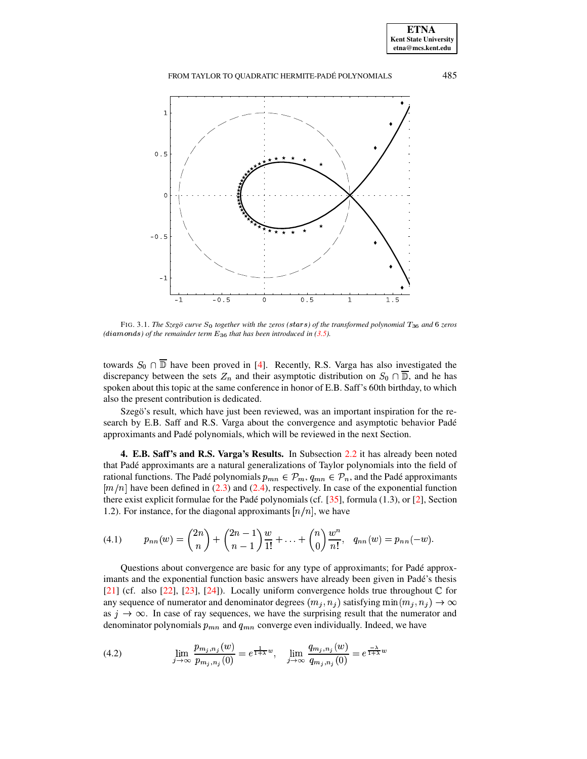FROM TAYLOR TO QUADRATIC HERMITE-PADÉ POLYNOMIALS



<span id="page-5-1"></span>FIG. 3.1. The Szegö curve  $S_0$  together with the zeros (stars) of the transformed polynomial  $T_{36}$  and 6 zeros (diamonds) of the remainder term  $E_{36}$  that has been introduced in (3.5).

towards  $S_0 \cap \overline{\mathbb{D}}$  have been proved in [4]. Recently, R.S. Varga has also investigated the discrepancy between the sets  $Z_n$  and their asymptotic distribution on  $S_0 \cap \overline{\mathbb{D}}$ , and he has spoken about this topic at the same conference in honor of E.B. Saff's 60th birthday, to which also the present contribution is dedicated.

Szegö's result, which have just been reviewed, was an important inspiration for the research by E.B. Saff and R.S. Varga about the convergence and asymptotic behavior Padé approximants and Padé polynomials, which will be reviewed in the next Section.

<span id="page-5-0"></span>4. E.B. Saff's and R.S. Varga's Results. In Subsection 2.2 it has already been noted that Padé approximants are a natural generalizations of Taylor polynomials into the field of rational functions. The Padé polynomials  $p_{mn} \in \mathcal{P}_m$ ,  $q_{mn} \in \mathcal{P}_n$ , and the Padé approximants  $[m/n]$  have been defined in (2.3) and (2.4), respectively. In case of the exponential function there exist explicit formulae for the Padé polynomials (cf.  $[35]$ , formula (1.3), or [2], Section 1.2). For instance, for the diagonal approximants  $[n/n]$ , we have

(4.1) 
$$
p_{nn}(w) = {2n \choose n} + {2n-1 \choose n-1} \frac{w}{1!} + \ldots + {n \choose 0} \frac{w^n}{n!}, q_{nn}(w) = p_{nn}(-w).
$$

Questions about convergence are basic for any type of approximants; for Padé approximants and the exponential function basic answers have already been given in Padé's thesis [21] (cf. also [22], [23], [24]). Locally uniform convergence holds true throughout  $\mathbb C$  for any sequence of numerator and denominator degrees  $(m_j, n_j)$  satisfying  $\min(m_j, n_j) \to \infty$ as  $j \to \infty$ . In case of ray sequences, we have the surprising result that the numerator and denominator polynomials  $p_{mn}$  and  $q_{mn}$  converge even individually. Indeed, we have

(4.2) 
$$
\lim_{j \to \infty} \frac{p_{m_j, n_j}(w)}{p_{m_j, n_j}(0)} = e^{\frac{1}{1+x}w}, \quad \lim_{j \to \infty} \frac{q_{m_j, n_j}(w)}{q_{m_j, n_j}(0)} = e^{\frac{-\lambda}{1+x}w}
$$

<span id="page-5-2"></span> $\mathbb{R}^2$ 

485

**ETNA Kent State University**  $etna@mcs. kent.edu$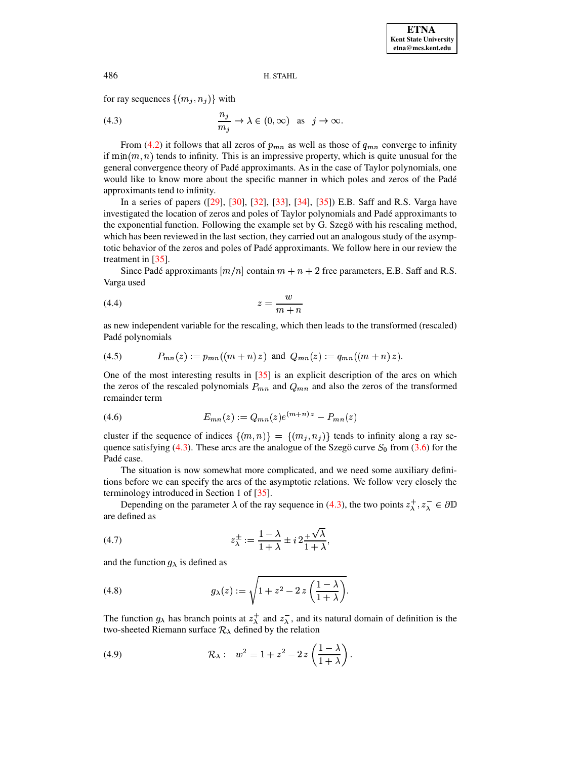<span id="page-6-0"></span>for ray sequences  $\{(m_j, n_j)\}\$ with

(4.3) 
$$
\frac{n_j}{m_j} \to \lambda \in (0, \infty) \text{ as } j \to \infty.
$$

From (4.2) it follows that all zeros of  $p_{mn}$  as well as those of  $q_{mn}$  converge to infinity if  $\min(m, n)$  tends to infinity. This is an impressive property, which is quite unusual for the general convergence theory of Padé approximants. As in the case of Taylor polynomials, one would like to know more about the specific manner in which poles and zeros of the Padé approximants tend to infinity.

In a series of papers ([29], [30], [32], [33], [34], [35]) E.B. Saff and R.S. Varga have investigated the location of zeros and poles of Taylor polynomials and Padé approximants to the exponential function. Following the example set by G. Szegö with his rescaling method, which has been reviewed in the last section, they carried out an analogous study of the asymptotic behavior of the zeros and poles of Padé approximants. We follow here in our review the treatment in  $[35]$ .

Since Padé approximants  $[m/n]$  contain  $m + n + 2$  free parameters, E.B. Saff and R.S. Varga used

$$
(4.4) \t\t\t z = \frac{w}{m+n}
$$

as new independent variable for the rescaling, which then leads to the transformed (rescaled) Padé polynomials

$$
(4.5) \tP_{mn}(z) := p_{mn}((m+n) z) \text{ and } Q_{mn}(z) := q_{mn}((m+n) z).
$$

One of the most interesting results in [35] is an explicit description of the arcs on which the zeros of the rescaled polynomials  $P_{mn}$  and  $Q_{mn}$  and also the zeros of the transformed remainder term

<span id="page-6-1"></span>
$$
(4.6) \t\t\t E_{mn}(z) := Q_{mn}(z)e^{(m+n)z} - P_{mn}(z)
$$

cluster if the sequence of indices  $\{(m,n)\} = \{(m_j,n_j)\}$  tends to infinity along a ray sequence satisfying (4.3). These arcs are the analogue of the Szegö curve  $S_0$  from (3.6) for the Padé case.

The situation is now somewhat more complicated, and we need some auxiliary definitions before we can specify the arcs of the asymptotic relations. We follow very closely the terminology introduced in Section 1 of [35].

Depending on the parameter  $\lambda$  of the ray sequence in (4.3), the two points  $z_\lambda^+, z_\lambda^- \in \partial \mathbb{D}$ are defined as

$$
(4.7) \t\t\t z_{\lambda}^{\pm} := \frac{1 - \lambda}{1 + \lambda} \pm i \, 2 \frac{+ \sqrt{\lambda}}{1 + \lambda}
$$

<span id="page-6-2"></span>and the function  $g_{\lambda}$  is defined as

(4.8) 
$$
g_{\lambda}(z) := \sqrt{1 + z^2 - 2 z \left(\frac{1 - \lambda}{1 + \lambda}\right)}.
$$

The function  $g_{\lambda}$  has branch points at  $z_{\lambda}^{+}$  and  $z_{\lambda}^{-}$ , and its natural domain of definition is the two-sheeted Riemann surface  $\mathcal{R}_{\lambda}$  defined by the relation

<span id="page-6-3"></span>(4.9) 
$$
\mathcal{R}_{\lambda}: w^{2} = 1 + z^{2} - 2 z \left( \frac{1 - \lambda}{1 + \lambda} \right).
$$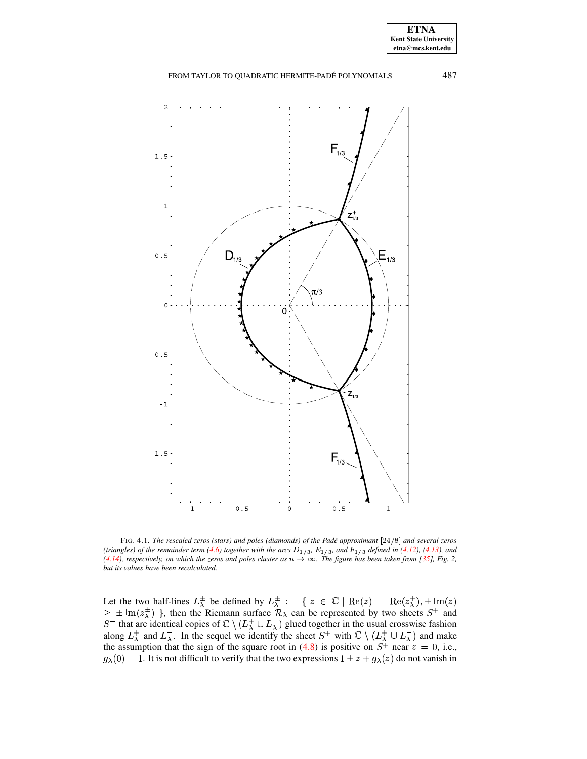### FROM TAYLOR TO QUADRATIC HERMITE-PADÉ POLYNOMIALS



<span id="page-7-0"></span>FIG. 4.1. The rescaled zeros (stars) and poles (diamonds) of the Padé approximant  $[24/8]$  and several zeros (triangles) of the remainder term (4.6) together with the arcs  $D_{1/3}$ ,  $E_{1/3}$ , and  $F_{1/3}$  defined in (4.12), (4.13), and (4.14), respectively, on which the zeros and poles cluster as  $n \to \infty$ . The figure has been taken from [35], Fig. 2, but its values have been recalculated.

Let the two half-lines  $L^{\pm}_{\lambda}$  be defined by  $L^{\pm}_{\lambda} := \{ z \in \mathbb{C} \mid \text{Re}(z) = \text{Re}(z^{\pm}_{\lambda}), \pm \text{Im}(z)$ <br>  $\geq \pm \text{Im}(z^{\pm}_{\lambda}) \}$ , then the Riemann surface  $\mathcal{R}_{\lambda}$  can be represented by two sheets  $S^{+}$  and  $S^{-}$  that a  $g_{\lambda}(0) = 1$ . It is not difficult to verify that the two expressions  $1 \pm z + g_{\lambda}(z)$  do not vanish in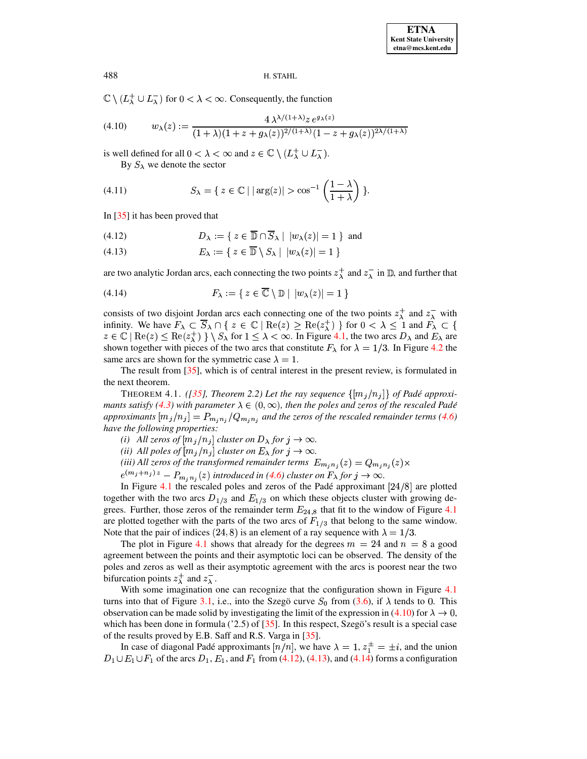$\mathbb{C}\setminus (L^+_{\lambda}\cup L^-_{\lambda})$  for  $0<\lambda<\infty$ . Consequently, the function

(4.10) 
$$
w_{\lambda}(z) := \frac{4\,\lambda^{(\lambda+1)}z\,e^{g_{\lambda}(z)}}{(1+\lambda)(1+z+g_{\lambda}(z))^{2/(\lambda+1)}(1-z+g_{\lambda}(z))^{2\lambda/(\lambda+1)}}
$$

is well defined for all  $0 < \lambda < \infty$  and  $z \in \mathbb{C} \setminus (L_{\lambda}^{+} \cup L_{\lambda}^{-})$ .

<span id="page-8-3"></span>By  $S_{\lambda}$  we denote the sector

(4.11) 
$$
S_{\lambda} = \{ z \in \mathbb{C} \mid |\arg(z)| > \cos^{-1}\left(\frac{1-\lambda}{1+\lambda}\right) \}
$$

In  $\left[35\right]$  it has been proved that

<span id="page-8-0"></span>
$$
(4.12) \t\t D_{\lambda} := \{ \ z \in \overline{\mathbb{D}} \cap \overline{S}_{\lambda} \mid |w_{\lambda}(z)| = 1 \} \text{ and}
$$

<span id="page-8-1"></span> $E_{\lambda} := \{ z \in \overline{\mathbb{D}} \setminus S_{\lambda} \mid |w_{\lambda}(z)| = 1 \}$  $(4.13)$ 

<span id="page-8-2"></span>are two analytic Jordan arcs, each connecting the two points  $z_\lambda^+$  and  $z_\lambda^-$  in  $\mathbb D$ , and further that

(4.14) 
$$
F_{\lambda} := \{ z \in \overline{\mathbb{C}} \setminus \mathbb{D} \mid |w_{\lambda}(z)| = 1 \}
$$

consists of two disjoint Jordan arcs each connecting one of the two points  $z_{\lambda}^{+}$  and  $z_{\lambda}^{-}$  with infinity. We have  $F_{\lambda} \subset \overline{S}_{\lambda} \cap \{ z \in \mathbb{C} \mid \text{Re}(z) \ge \text{Re}(z_{\lambda}^{+}) \}$  for  $0 < \lambda \le 1$  and  $F_{\lambda} \subset \{ z \in \mathbb{C} \mid \text{Re}(z) \le \text{Re}(z_{\lambda}^{+}) \} \setminus S_{\lambda}$  for  $1 \le \lambda < \infty$ . In Figure 4.1, the two arcs  $D_{\lambda}$  and  $E_{\lambda}$  are shown together with pieces of the two arcs that constitute  $F_{\lambda}$  for  $\lambda = 1/3$ . In Figure 4.2 the same arcs are shown for the symmetric case  $\lambda = 1$ .

The result from  $[35]$ , which is of central interest in the present review, is formulated in the next theorem.

<span id="page-8-4"></span>THEOREM 4.1. ([35], Theorem 2.2) Let the ray sequence  $\{[m_j/n_j]\}$  of Padé approximants satisfy (4.3) with parameter  $\lambda \in (0, \infty)$ , then the poles and zeros of the rescaled Padé approximants  $[m_j/n_j] = P_{m_j n_j}/Q_{m_j n_j}$  and the zeros of the rescaled remainder terms (4.6) have the following properties:

(i) All zeros of  $[m_j/n_j]$  cluster on  $D_\lambda$  for  $j \to \infty$ .

(ii) All poles of  $[m_j/n_j]$  cluster on  $E_\lambda$  for  $j \to \infty$ .

(iii) All zeros of the transformed remainder terms  $E_{m_j n_j}(z) = Q_{m_j n_j}(z) \times$ 

 $e^{(m_j+n_j) z} - P_{m_jn_j}(z)$  introduced in (4.6) cluster on  $F_{\lambda}$  for  $j \to \infty$ .

In Figure 4.1 the rescaled poles and zeros of the Padé approximant  $[24/8]$  are plotted together with the two arcs  $D_{1/3}$  and  $E_{1/3}$  on which these objects cluster with growing degrees. Further, those zeros of the remainder term  $E_{24,8}$  that fit to the window of Figure 4.1 are plotted together with the parts of the two arcs of  $F_{1/3}$  that belong to the same window. Note that the pair of indices (24, 8) is an element of a ray sequence with  $\lambda = 1/3$ .

The plot in Figure 4.1 shows that already for the degrees  $m = 24$  and  $n = 8$  a good agreement between the points and their asymptotic loci can be observed. The density of the poles and zeros as well as their asymptotic agreement with the arcs is poorest near the two bifurcation points  $z_{\lambda}^{+}$  and  $z_{\lambda}^{-}$ .

With some imagination one can recognize that the configuration shown in Figure 4.1 turns into that of Figure 3.1, i.e., into the Szegö curve  $S_0$  from (3.6), if  $\lambda$  tends to 0. This observation can be made solid by investigating the limit of the expression in (4.10) for  $\lambda \to 0$ , which has been done in formula ( $2.5$ ) of [ $35$ ]. In this respect, Szegö's result is a special case of the results proved by E.B. Saff and R.S. Varga in [35].

In case of diagonal Padé approximants  $[n/n]$ , we have  $\lambda = 1$ ,  $z_1^{\pm} = \pm i$ , and the union  $D_1 \cup E_1 \cup F_1$  of the arcs  $D_1$ ,  $E_1$ , and  $F_1$  from (4.12), (4.13), and (4.14) forms a configuration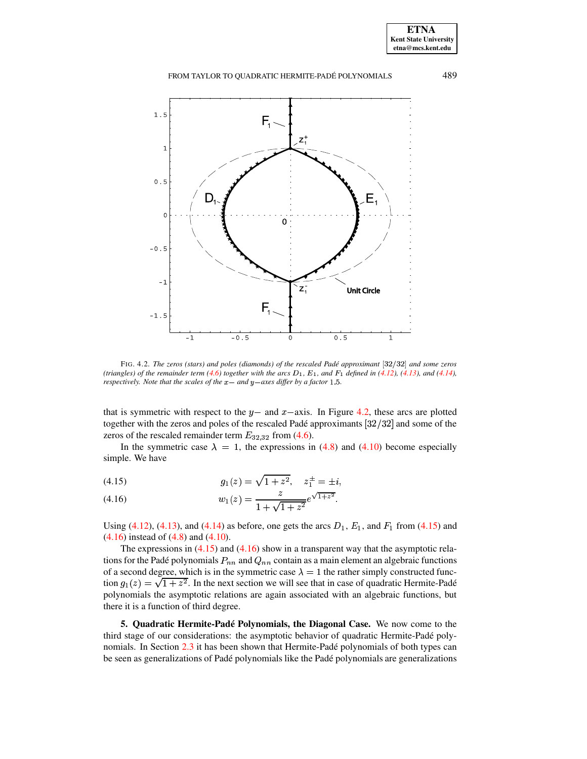FROM TAYLOR TO QUADRATIC HERMITE-PADÉ POLYNOMIALS



<span id="page-9-1"></span>FIG. 4.2. The zeros (stars) and poles (diamonds) of the rescaled Padé approximant [32/32] and some zeros (triangles) of the remainder term  $(4.6)$  together with the arcs  $D_1$ ,  $E_1$ , and  $F_1$  defined in  $(4.12)$ ,  $(4.13)$ , and  $(4.14)$ , respectively. Note that the scales of the  $x-$  and  $y-$ axes differ by a factor 1.5.

that is symmetric with respect to the  $y$  – and  $x$  – axis. In Figure 4.2, these arcs are plotted together with the zeros and poles of the rescaled Padé approximants  $[32/32]$  and some of the zeros of the rescaled remainder term  $E_{32,32}$  from (4.6).

In the symmetric case  $\lambda = 1$ , the expressions in (4.8) and (4.10) become especially simple. We have

<span id="page-9-2"></span>(4.15) 
$$
g_1(z) = \sqrt{1 + z^2}, \quad z_1^{\pm} = \pm i,
$$

<span id="page-9-3"></span>(4.16) 
$$
w_1(z) = \frac{z}{1 + \sqrt{1 + z^2}} e^{\sqrt{1 + z^2}}.
$$

Using (4.12), (4.13), and (4.14) as before, one gets the arcs  $D_1$ ,  $E_1$ , and  $F_1$  from (4.15) and  $(4.16)$  instead of  $(4.8)$  and  $(4.10)$ .

The expressions in  $(4.15)$  and  $(4.16)$  show in a transparent way that the asymptotic relations for the Padé polynomials  $P_{nn}$  and  $Q_{nn}$  contain as a main element an algebraic functions of a second degree, which is in the symmetric case  $\lambda = 1$  the rather simply constructed function  $g_1(z) = \sqrt{1 + z^2}$ . In the next section we will see that in case of quadratic Hermite-Padé polynomials the asymptotic relations are again associated with an algebraic functions, but there it is a function of third degree.

<span id="page-9-0"></span>5. Quadratic Hermite-Padé Polynomials, the Diagonal Case. We now come to the third stage of our considerations: the asymptotic behavior of quadratic Hermite-Padé polynomials. In Section 2.3 it has been shown that Hermite-Padé polynomials of both types can be seen as generalizations of Padé polynomials like the Padé polynomials are generalizations

489

**ETNA Kent State University**  $etna@mcs. kent.edu$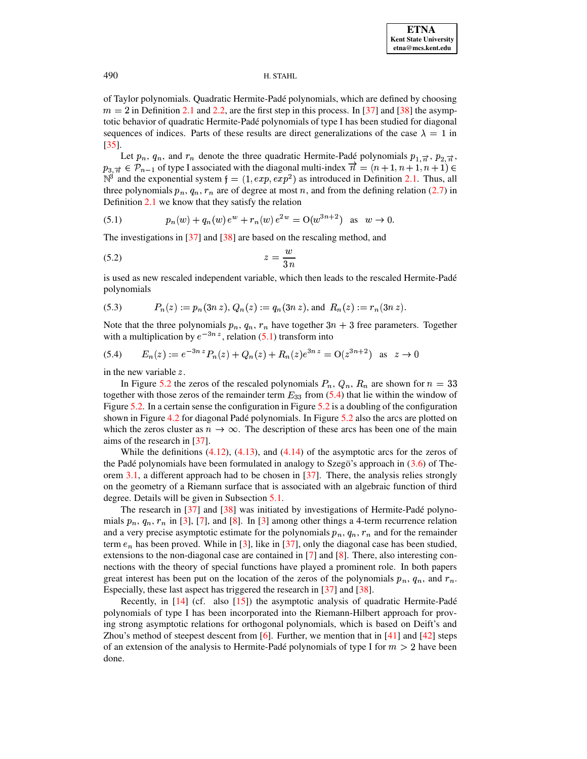of Taylor polynomials. Quadratic Hermite-Padé polynomials, which are defined by choosing  $m = 2$  in Definition 2.1 and 2.2, are the first step in this process. In [37] and [38] the asymptotic behavior of quadratic Hermite-Padé polynomials of type I has been studied for diagonal sequences of indices. Parts of these results are direct generalizations of the case  $\lambda = 1$  in  $\left[35\right]$ .

Let  $p_n$ ,  $q_n$ , and  $r_n$  denote the three quadratic Hermite-Padé polynomials  $p_{1,\overrightarrow{n}}$ ,  $p_{2,\overrightarrow{n}}$ ,  $p_{3,\vec{n}} \in \mathcal{P}_{n-1}$  of type I associated with the diagonal multi-index  $\vec{n} = (n+1, n+1, n+1) \in$  $\mathbb{N}^3$  and the exponential system  $f = (1, exp, exp^2)$  as introduced in Definition 2.1. Thus, all three polynomials  $p_n$ ,  $q_n$ ,  $r_n$  are of degree at most n, and from the defining relation (2.7) in Definition  $2.1$  we know that they satisfy the relation

<span id="page-10-0"></span>(5.1) 
$$
p_n(w) + q_n(w) e^w + r_n(w) e^{2w} = O(w^{3n+2}) \text{ as } w \to 0.
$$

The investigations in  $[37]$  and  $[38]$  are based on the rescaling method, and

$$
(5.2) \t\t\t z = \frac{w}{3n}
$$

is used as new rescaled independent variable, which then leads to the rescaled Hermite-Padé polynomials

(5.3) 
$$
P_n(z) := p_n(3n z), Q_n(z) := q_n(3n z), \text{ and } R_n(z) := r_n(3n z).
$$

<span id="page-10-1"></span>Note that the three polynomials  $p_n$ ,  $q_n$ ,  $r_n$  have together  $3n + 3$  free parameters. Together with a multiplication by  $e^{-3nz}$ , relation (5.1) transform into

$$
(5.4) \qquad E_n(z) := e^{-3nz} P_n(z) + Q_n(z) + R_n(z) e^{3nz} = O(z^{3n+2}) \quad \text{as} \quad z \to 0
$$

in the new variable  $z$ .

In Figure 5.2 the zeros of the rescaled polynomials  $P_n$ ,  $Q_n$ ,  $R_n$  are shown for  $n = 33$ together with those zeros of the remainder term  $E_{33}$  from (5.4) that lie within the window of Figure 5.2. In a certain sense the configuration in Figure 5.2 is a doubling of the configuration shown in Figure 4.2 for diagonal Padé polynomials. In Figure 5.2 also the arcs are plotted on which the zeros cluster as  $n \to \infty$ . The description of these arcs has been one of the main aims of the research in  $[37]$ .

While the definitions  $(4.12)$ ,  $(4.13)$ , and  $(4.14)$  of the asymptotic arcs for the zeros of the Padé polynomials have been formulated in analogy to Szegö's approach in  $(3.6)$  of Theorem 3.1, a different approach had to be chosen in  $[37]$ . There, the analysis relies strongly on the geometry of a Riemann surface that is associated with an algebraic function of third degree. Details will be given in Subsection 5.1.

The research in  $[37]$  and  $[38]$  was initiated by investigations of Hermite-Padé polynomials  $p_n$ ,  $q_n$ ,  $r_n$  in [3], [7], and [8]. In [3] among other things a 4-term recurrence relation and a very precise asymptotic estimate for the polynomials  $p_n$ ,  $q_n$ ,  $r_n$  and for the remainder term  $e_n$  has been proved. While in [3], like in [37], only the diagonal case has been studied, extensions to the non-diagonal case are contained in  $[7]$  and  $[8]$ . There, also interesting connections with the theory of special functions have played a prominent role. In both papers great interest has been put on the location of the zeros of the polynomials  $p_n$ ,  $q_n$ , and  $r_n$ . Especially, these last aspect has triggered the research in [37] and [38].

Recently, in  $[14]$  (cf. also  $[15]$ ) the asymptotic analysis of quadratic Hermite-Padé polynomials of type I has been incorporated into the Riemann-Hilbert approach for proving strong asymptotic relations for orthogonal polynomials, which is based on Deift's and Zhou's method of steepest descent from [6]. Further, we mention that in  $[41]$  and  $[42]$  steps of an extension of the analysis to Hermite-Padé polynomials of type I for  $m > 2$  have been done.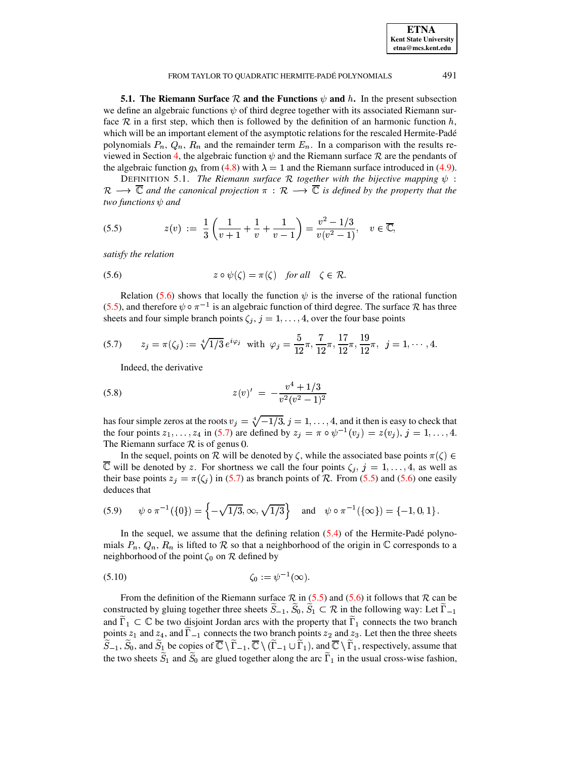| <b>ETNA</b>                  |
|------------------------------|
| <b>Kent State University</b> |
| etna@mcs.kent.edu            |

491

#### FROM TAYLOR TO QUADRATIC HERMITE-PADÉ POLYNOMIALS

<span id="page-11-0"></span>**5.1. The Riemann Surface**  $\mathcal{R}$  and the Functions  $\psi$  and h. In the present subsection we define an algebraic functions  $\psi$  of third degree together with its associated Riemann surface  $R$  in a first step, which then is followed by the definition of an harmonic function h, which will be an important element of the asymptotic relations for the rescaled Hermite-Padé polynomials  $P_n$ ,  $Q_n$ ,  $R_n$  and the remainder term  $E_n$ . In a comparison with the results reviewed in Section 4, the algebraic function  $\psi$  and the Riemann surface R are the pendants of the algebraic function  $g_{\lambda}$  from (4.8) with  $\lambda = 1$  and the Riemann surface introduced in (4.9).

<span id="page-11-6"></span><span id="page-11-2"></span>DEFINITION 5.1. The Riemann surface R together with the bijective mapping  $\psi$ :  $\rightarrow \overline{\mathbb{C}}$  and the canonical projection  $\pi : \mathcal{R} \rightarrow \overline{\mathbb{C}}$  is defined by the property that the  $\mathcal{R}$ two functions  $\psi$  and

$$
(5.5) \t z(v) := \frac{1}{3} \left( \frac{1}{v+1} + \frac{1}{v} + \frac{1}{v-1} \right) = \frac{v^2 - 1/3}{v(v^2 - 1)}, \quad v \in \overline{\mathbb{C}},
$$

<span id="page-11-1"></span>satisfy the relation

(5.6) 
$$
z \circ \psi(\zeta) = \pi(\zeta) \quad \text{for all} \quad \zeta \in \mathcal{R}.
$$

Relation (5.6) shows that locally the function  $\psi$  is the inverse of the rational function (5.5), and therefore  $\psi \circ \pi^{-1}$  is an algebraic function of third degree. The surface R has three sheets and four simple branch points  $\zeta_i$ ,  $j = 1, \ldots, 4$ , over the four base points

(5.7) 
$$
z_j = \pi(\zeta_j) := \sqrt[4]{1/3} e^{i\varphi_j} \text{ with } \varphi_j = \frac{5}{12}\pi, \frac{7}{12}\pi, \frac{17}{12}\pi, \frac{19}{12}\pi, \ j = 1, \cdots, 4.
$$

<span id="page-11-3"></span>Indeed, the derivative

(5.8) 
$$
z(v)' = -\frac{v^4 + 1/3}{v^2(v^2 - 1)^2}
$$

has four simple zeros at the roots  $v_i = \sqrt[4]{-1/3}$ ,  $j = 1, ..., 4$ , and it then is easy to check that the four points  $z_1, \ldots, z_4$  in (5.7) are defined by  $z_j = \pi \circ \psi^{-1}(v_j) = z(v_j), j = 1, \ldots, 4$ . The Riemann surface  $R$  is of genus 0.

In the sequel, points on  $\mathcal R$  will be denoted by  $\zeta$ , while the associated base points  $\pi(\zeta) \in$  $\overline{\mathbb{C}}$  will be denoted by z. For shortness we call the four points  $\zeta_i$ ,  $j = 1, \ldots, 4$ , as well as their base points  $z_j = \pi(\zeta_j)$  in (5.7) as branch points of R. From (5.5) and (5.6) one easily deduces that

<span id="page-11-4"></span>(5.9) 
$$
\psi \circ \pi^{-1}(\{0\}) = \left\{-\sqrt{1/3}, \infty, \sqrt{1/3}\right\}
$$
 and  $\psi \circ \pi^{-1}(\{\infty\}) = \{-1, 0, 1\}$ .

<span id="page-11-5"></span>In the sequel, we assume that the defining relation  $(5.4)$  of the Hermite-Padé polynomials  $P_n$ ,  $Q_n$ ,  $R_n$  is lifted to  $\mathcal R$  so that a neighborhood of the origin in  $\mathbb C$  corresponds to a neighborhood of the point  $\zeta_0$  on  $\mathcal R$  defined by

$$
\zeta_0 := \psi^{-1}(\infty).
$$

From the definition of the Riemann surface  $\mathcal{R}$  in (5.5) and (5.6) it follows that  $\mathcal{R}$  can be constructed by gluing together three sheets  $\widetilde{S}_{-1}$ ,  $\widetilde{S}_0$ ,  $\widetilde{S}_1 \subset \mathcal{R}$  in the following way: Let  $\widetilde{\Gamma}_{-1}$ and  $\tilde{\Gamma}_1 \subset \mathbb{C}$  be two disjoint Jordan arcs with the property that  $\tilde{\Gamma}_1$  connects the two branch points  $z_1$  and  $z_4$ , and  $\tilde{\Gamma}_{-1}$  connects the two branch points  $z_2$  and  $z_3$ . Let then the three sheets  $\widetilde{S}_{-1}$ ,  $\widetilde{S}_0$ , and  $\widetilde{S}_1$  be copies of  $\overline{\mathbb{C}} \setminus \widetilde{\Gamma}_{-1}$ ,  $\overline{\mathbb{C}} \setminus (\widetilde{\Gamma}_{-1} \cup \widetilde{\Gamma}_1)$ , and  $\overline{\mathbb{C}} \setminus \widetilde{\Gamma}_1$ , respectively, assume that the two sheets  $\widetilde{S}_1$  and  $\widetilde{S}_0$  are glued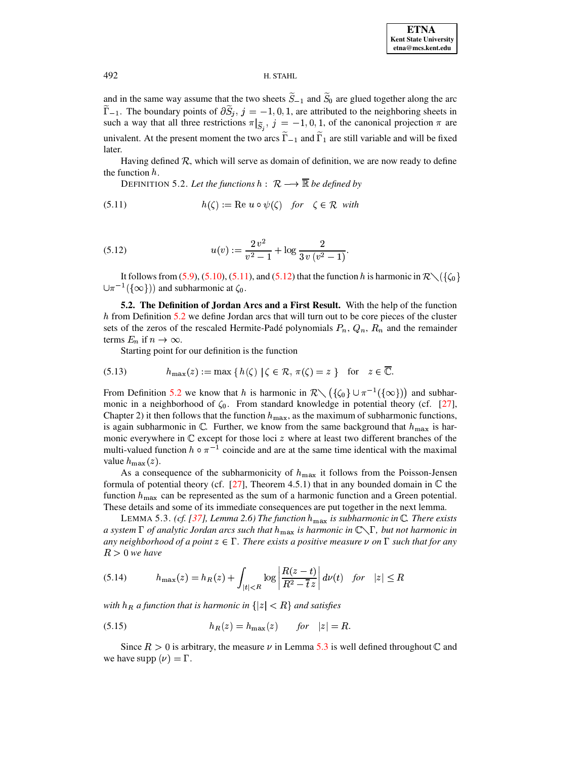and in the same way assume that the two sheets  $\tilde{S}_{-1}$  and  $\tilde{S}_0$  are glued together along the arc  $\widetilde{\Gamma}_{-1}$ . The boundary points of  $\partial \widetilde{S}_j$ ,  $j = -1, 0, 1$ , are attributed to the neighboring sheets in such a way that all three restrictions  $\pi|_{\tilde{S}_i}$ ,  $j = -1, 0, 1$ , of the canonical projection  $\pi$  are univalent. At the present moment the two arcs  $\tilde{\Gamma}_{-1}$  and  $\tilde{\Gamma}_1$  are still variable and will be fixed later.

<span id="page-12-2"></span>Having defined  $\mathcal{R}$ , which will serve as domain of definition, we are now ready to define the function  $h$ .

<span id="page-12-0"></span>DEFINITION 5.2. Let the functions  $h: \mathcal{R} \longrightarrow \overline{\mathbb{R}}$  be defined by

(5.11) 
$$
h(\zeta) := \text{Re } u \circ \psi(\zeta) \quad \text{for} \quad \zeta \in \mathcal{R} \text{ with}
$$

<span id="page-12-1"></span>(5.12) 
$$
u(v) := \frac{2 v^2}{v^2 - 1} + \log \frac{2}{3 v (v^2 - 1)}
$$

It follows from (5.9), (5.10), (5.11), and (5.12) that the function h is harmonic in  $\mathcal{R}\setminus\{\zeta_0\}$  $\cup \pi^{-1}(\{\infty\})$  and subharmonic at  $\zeta_0$ .

<span id="page-12-4"></span>5.2. The Definition of Jordan Arcs and a First Result. With the help of the function  $h$  from Definition 5.2 we define Jordan arcs that will turn out to be core pieces of the cluster sets of the zeros of the rescaled Hermite-Padé polynomials  $P_n$ ,  $Q_n$ ,  $R_n$  and the remainder terms  $E_n$  if  $n \to \infty$ .

<span id="page-12-5"></span>Starting point for our definition is the function

(5.13) 
$$
h_{\max}(z) := \max\{h(\zeta) \mid \zeta \in \mathcal{R}, \pi(\zeta) = z\} \text{ for } z \in \overline{\mathbb{C}}.
$$

From Definition 5.2 we know that h is harmonic in  $\mathbb{R}\setminus (\{\zeta_0\}\cup \pi^{-1}(\{\infty\}) )$  and subharmonic in a neighborhood of  $\zeta_0$ . From standard knowledge in potential theory (cf. [27], Chapter 2) it then follows that the function  $h_{\text{max}}$ , as the maximum of subharmonic functions, is again subharmonic in  $\mathbb{C}$ . Further, we know from the same background that  $h_{\text{max}}$  is harmonic everywhere in  $\mathbb C$  except for those loci  $z$  where at least two different branches of the multi-valued function  $h \circ \pi^{-1}$  coincide and are at the same time identical with the maximal value  $h_{\text{max}}(z)$ .

As a consequence of the subharmonicity of  $h_{\text{max}}$  it follows from the Poisson-Jensen formula of potential theory (cf.  $[27]$ , Theorem 4.5.1) that in any bounded domain in  $\mathbb C$  the function  $h_{\text{max}}$  can be represented as the sum of a harmonic function and a Green potential. These details and some of its immediate consequences are put together in the next lemma.

<span id="page-12-3"></span>LEMMA 5.3. (cf. [37], Lemma 2.6) The function  $h_{\text{max}}$  is subharmonic in  $\mathbb C$ . There exists a system  $\Gamma$  of analytic Jordan arcs such that  $h_{\max}$  is harmonic in  $\mathbb{C}\setminus\Gamma$ , but not harmonic in any neighborhood of a point  $z \in \Gamma$ . There exists a positive measure  $\nu$  on  $\Gamma$  such that for any  $R > 0$  we have

$$
(5.14) \qquad h_{\max}(z) = h_R(z) + \int_{|t| < R} \log \left| \frac{R(z-t)}{R^2 - \overline{t}z} \right| d\nu(t) \quad \text{for} \quad |z| \le R
$$

with  $h_R$  a function that is harmonic in  $\{|z| < R\}$  and satisfies

Since  $R > 0$  is arbitrary, the measure  $\nu$  in Lemma 5.3 is well defined throughout C and we have supp  $(\nu) = \Gamma$ .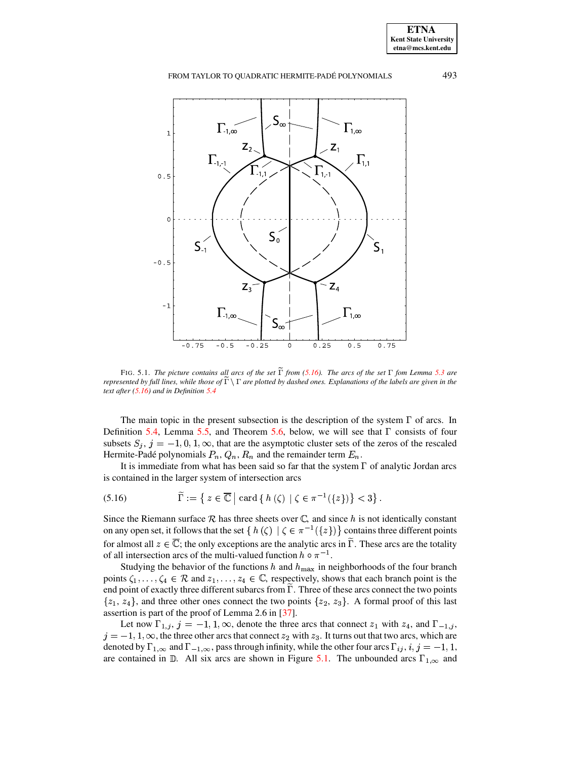**ETNA Kent State University etna@mcs.kent.edu**

# FROM TAYLOR TO QUADRATIC HERMITE-PADÉ POLYNOMIALS 493



<span id="page-13-1"></span>FIG. 5.1. The picture contains all arcs of the set  $\Gamma$  from [\(5.16\)](#page-13-0). The arcs of the set  $\Gamma$  fom Lemma [5.3](#page-12-3) are represented by full lines, while those of  $\Gamma \setminus \Gamma$  are plotted by dashed ones. Explanations of the labels are given in the *text after [\(5.16\)](#page-13-0) and in Definition [5.4](#page-14-1)*

The main topic in the present subsection is the description of the system  $\Gamma$  of arcs. In Definition [5.4,](#page-14-1) Lemma [5.5,](#page-15-0) and Theorem [5.6,](#page-15-1) below, we will see that  $\Gamma$  consists of four subsets  $S_j$ ,  $j = -1, 0, 1, \infty$ , that are the asymptotic cluster sets of the zeros of the rescaled Hermite-Padé polynomials  $P_n$ ,  $Q_n$ ,  $R_n$  and the remainder term  $E_n$ .

<span id="page-13-0"></span>It is immediate from what has been said so far that the system  $\Gamma$  of analytic Jordan arcs is contained in the larger system of intersection arcs

$$
(5.16) \qquad \qquad \widetilde{\Gamma} := \left\{ \left. z \in \overline{\mathbb{C}} \; \right| \; \text{card} \left\{ \left. h \left( \zeta \right) \; \right| \; \zeta \in \pi^{-1}(\{z\}) \right\} < 3 \right\}.
$$

Since the Riemann surface R has three sheets over  $\mathbb C$ , and since h is not identically constant on any open set, it follows that the set  $\{h(\zeta) \mid \zeta \in \pi^{-1}(\{z\})\}$  contains three different points for almost all  $z \in \mathbb{C}$ ; the only exceptions are the analytic arcs in  $\Gamma$ . These arcs are the totality of all intersection arcs of the multi-valued function  $h \circ \pi^{-1}$ .

Studying the behavior of the functions h and  $h_{\text{max}}$  in neighborhoods of the four branch points  $\zeta_1, \ldots, \zeta_4 \in \mathcal{R}$  and  $z_1, \ldots, z_4 \in \mathbb{C}$ , respectively, shows that each branch point is the end point of exactly three different subarcs from  $\overline{\Gamma}$ . Three of these arcs connect the two points  $\{z_1, z_4\}$ , and three other ones connect the two points  $\{z_2, z_3\}$ . A formal proof of this last assertion is part of the proof of Lemma 2.6 in [\[37\]](#page-30-2).

Let now  $\Gamma_{1,j}$ ,  $j = -1, 1, \infty$ , denote the three arcs that connect  $z_1$  with  $z_4$ , and  $\Gamma_{-1,j}$ ,  $j=-1,1,\infty$ , the three other arcs that connect  $z_2$  with  $z_3$ . It turns out that two arcs, which are denoted by  $\Gamma_{1,\infty}$  and  $\Gamma_{-1,\infty}$ , pass through infinity, while the other four arcs  $\Gamma_{ij}$ ,  $i, j = -1, 1,$ are contained in  $\mathbb{D}$ . All six arcs are shown in Figure [5.1.](#page-13-1) The unbounded arcs  $\Gamma_{1,\infty}$  and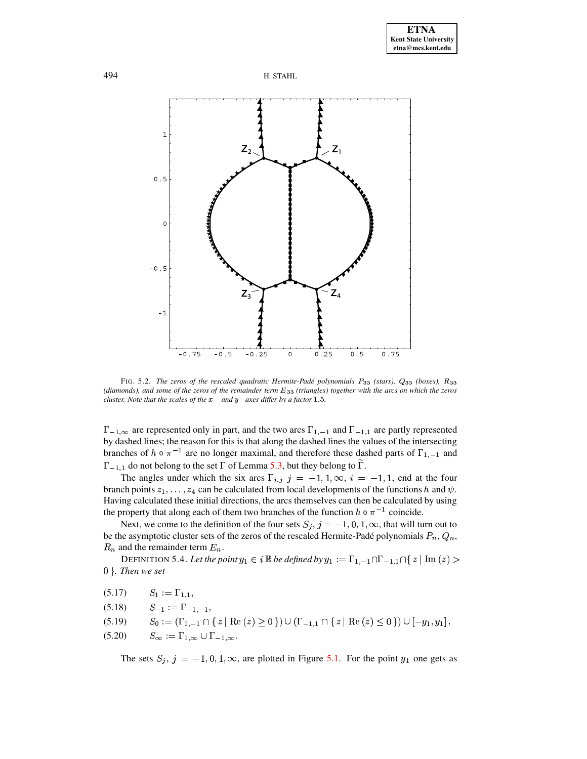



<span id="page-14-0"></span>FIG. 5.2. The zeros of the rescaled quadratic Hermite-Padé polynomials P33 (stars), Q33 (boxes), R33 (diamonds), and some of the zeros of the remainder term E<sub>33</sub> (triangles) together with the arcs on which the zeros cluster. Note that the scales of the  $x-$  and  $y-$ axes differ by a factor 1.5.

 $\Gamma_{-1,\infty}$  are represented only in part, and the two arcs  $\Gamma_{1,-1}$  and  $\Gamma_{-1,1}$  are partly represented by dashed lines; the reason for this is that along the dashed lines the values of the intersecting branches of  $h \circ \pi^{-1}$  are no longer maximal, and therefore these dashed parts of  $\Gamma_{1,-1}$  and  $\Gamma_{-1,1}$  do not belong to the set  $\Gamma$  of Lemma 5.3, but they belong to  $\Gamma$ .

The angles under which the six arcs  $\Gamma_{i,j}$   $j = -1, 1, \infty, i = -1, 1$ , end at the four branch points  $z_1, \ldots, z_4$  can be calculated from local developments of the functions h and  $\psi$ . Having calculated these initial directions, the arcs themselves can then be calculated by using the property that along each of them two branches of the function  $h \circ \pi^{-1}$  coincide.

Next, we come to the definition of the four sets  $S_j$ ,  $j = -1, 0, 1, \infty$ , that will turn out to be the asymptotic cluster sets of the zeros of the rescaled Hermite-Padé polynomials  $P_n$ ,  $Q_n$ ,  $R_n$  and the remainder term  $E_n$ .

<span id="page-14-1"></span>DEFINITION 5.4. Let the point  $y_1 \in i \mathbb{R}$  be defined by  $y_1 := \Gamma_{1,-1} \cap \Gamma_{-1,1} \cap \{ z \mid \text{Im}(z) >$  $0$  }. Then we set

$$
(5.17) \t S_1 := \Gamma_{1,1},
$$

$$
(5.18) \qquad S_{-1} := \Gamma_{-1,-1},
$$

$$
(5.19) \qquad S_0 := (\Gamma_{1,-1} \cap \{ z \mid \text{Re}(z) \ge 0 \}) \cup (\Gamma_{-1,1} \cap \{ z \mid \text{Re}(z) \le 0 \}) \cup [-y_1, y_1],
$$

$$
(5.20) \qquad S_{\infty} := \Gamma_{1,\infty} \cup \Gamma_{-1,\infty}.
$$

The sets  $S_j$ ,  $j = -1, 0, 1, \infty$ , are plotted in Figure 5.1. For the point  $y_1$  one gets as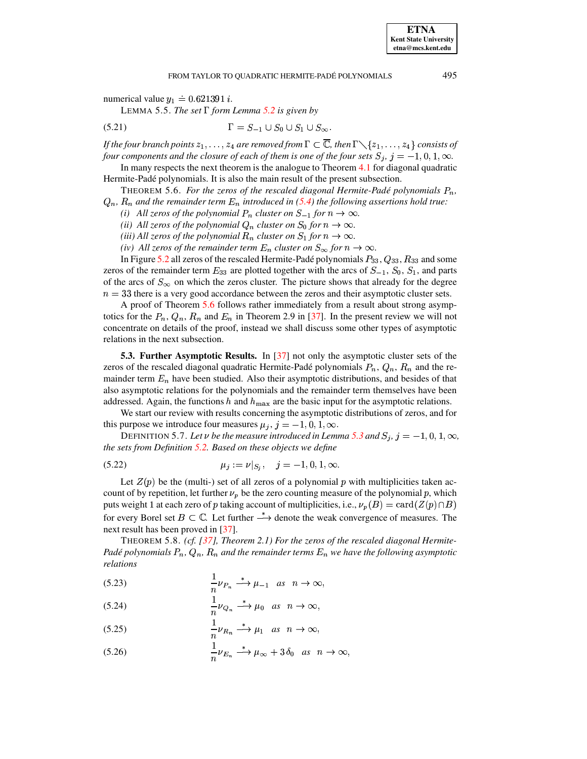**ETNA Kent State University** etna@mcs.kent.edu

<span id="page-15-0"></span>numerical value  $y_1 = 0.621391 i$ .

LEMMA 5.5. The set  $\Gamma$  form Lemma 5.2 is given by

$$
(5.21) \qquad \qquad \Gamma = S_{-1} \cup S_0 \cup S_1 \cup S_{\infty}.
$$

If the four branch points  $z_1, \ldots, z_4$  are removed from  $\Gamma \subset \overline{\mathbb{C}}$ , then  $\Gamma \setminus \{z_1, \ldots, z_4\}$  consists of four components and the closure of each of them is one of the four sets  $S_i$ ,  $j = -1, 0, 1, \infty$ .

In many respects the next theorem is the analogue to Theorem  $4.1$  for diagonal quadratic Hermite-Padé polynomials. It is also the main result of the present subsection.

<span id="page-15-1"></span>THEOREM 5.6. For the zeros of the rescaled diagonal Hermite-Padé polynomials  $P_n$ ,  $Q_n$ ,  $R_n$  and the remainder term  $E_n$  introduced in (5.4) the following assertions hold true:

(i) All zeros of the polynomial  $P_n$  cluster on  $S_{-1}$  for  $n \to \infty$ .

(ii) All zeros of the polynomial  $Q_n$  cluster on  $S_0$  for  $n \to \infty$ .

(iii) All zeros of the polynomial  $R_n$  cluster on  $S_1$  for  $n \to \infty$ .

(iv) All zeros of the remainder term  $E_n$  cluster on  $S_\infty$  for  $n \to \infty$ .

In Figure 5.2 all zeros of the rescaled Hermite-Padé polynomials  $P_{33}$ ,  $Q_{33}$ ,  $R_{33}$  and some zeros of the remainder term  $E_{33}$  are plotted together with the arcs of  $S_{-1}$ ,  $S_0$ ,  $S_1$ , and parts of the arcs of  $S_{\infty}$  on which the zeros cluster. The picture shows that already for the degree  $n = 33$  there is a very good accordance between the zeros and their asymptotic cluster sets.

A proof of Theorem 5.6 follows rather immediately from a result about strong asymptotics for the  $P_n$ ,  $Q_n$ ,  $R_n$  and  $E_n$  in Theorem 2.9 in [37]. In the present review we will not concentrate on details of the proof, instead we shall discuss some other types of asymptotic relations in the next subsection.

<span id="page-15-7"></span>**5.3. Further Asymptotic Results.** In [37] not only the asymptotic cluster sets of the zeros of the rescaled diagonal quadratic Hermite-Padé polynomials  $P_n$ ,  $Q_n$ ,  $R_n$  and the remainder term  $E_n$  have been studied. Also their asymptotic distributions, and besides of that also asymptotic relations for the polynomials and the remainder term themselves have been addressed. Again, the functions h and  $h_{\text{max}}$  are the basic input for the asymptotic relations.

We start our review with results concerning the asymptotic distributions of zeros, and for this purpose we introduce four measures  $\mu_j$ ,  $j = -1, 0, 1, \infty$ .

<span id="page-15-4"></span><span id="page-15-3"></span>DEFINITION 5.7. Let v be the measure introduced in Lemma 5.3 and  $S_j$ ,  $j = -1, 0, 1, \infty$ , the sets from Definition  $5.2$ . Based on these objects we define

$$
\mu_j := \nu|_{S_i}, \quad j = -1, 0, 1, \infty
$$

Let  $Z(p)$  be the (multi-) set of all zeros of a polynomial p with multiplicities taken account of by repetition, let further  $\nu_p$  be the zero counting measure of the polynomial p, which puts weight 1 at each zero of p taking account of multiplicities, i.e.,  $\nu_p(B) = \text{card}(Z(p) \cap B)$ for every Borel set  $B \subset \mathbb{C}$ . Let further  $\stackrel{*}{\longrightarrow}$  denote the weak convergence of measures. The next result has been proved in [37].

<span id="page-15-2"></span>THEOREM 5.8. (cf.  $[37]$ , Theorem 2.1) For the zeros of the rescaled diagonal Hermite-Padé polynomials  $P_n$ ,  $Q_n$ ,  $R_n$  and the remainder terms  $E_n$  we have the following asymptotic relations

<span id="page-15-5"></span>
$$
\frac{1}{n}\nu_{P_n} \stackrel{*}{\longrightarrow} \mu_{-1} \quad as \quad n \to \infty,
$$

$$
\frac{1}{n}\nu_{Q_n} \stackrel{*}{\longrightarrow} \mu_0 \quad as \quad n \to \infty,
$$

$$
\frac{1}{n}\nu_{R_n} \xrightarrow{\ast} \mu_1 \quad as \quad n \to \infty,
$$

<span id="page-15-6"></span>
$$
(5.26) \qquad \frac{1}{n}\nu_{E_n} \stackrel{*}{\longrightarrow} \mu_\infty + 3\,\delta_0 \quad as \quad n \to \infty,
$$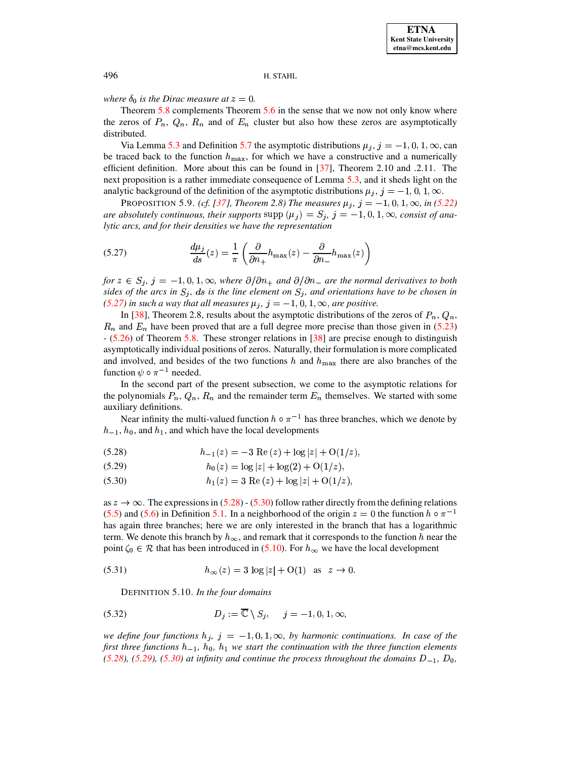# where  $\delta_0$  is the Dirac measure at  $z=0$ .

Theorem  $5.8$  complements Theorem  $5.6$  in the sense that we now not only know where the zeros of  $P_n$ ,  $Q_n$ ,  $R_n$  and of  $E_n$  cluster but also how these zeros are asymptotically distributed.

Via Lemma 5.3 and Definition 5.7 the asymptotic distributions  $\mu_j$ ,  $j = -1, 0, 1, \infty$ , can be traced back to the function  $h_{\text{max}}$ , for which we have a constructive and a numerically efficient definition. More about this can be found in  $[37]$ , Theorem 2.10 and .2.11. The next proposition is a rather immediate consequence of Lemma 5.3, and it sheds light on the analytic background of the definition of the asymptotic distributions  $\mu_i$ ,  $j = -1, 0, 1, \infty$ .

<span id="page-16-5"></span>PROPOSITION 5.9. (cf. [37], Theorem 2.8) The measures  $\mu_j$ ,  $j = -1, 0, 1, \infty$ , in (5.22) are absolutely continuous, their supports supp  $(\mu_j) = S_j$ ,  $j = -1, 0, 1, \infty$ , consist of analytic arcs, and for their densities we have the representation

<span id="page-16-0"></span>(5.27) 
$$
\frac{d\mu_j}{ds}(z) = \frac{1}{\pi} \left( \frac{\partial}{\partial n_+} h_{\text{max}}(z) - \frac{\partial}{\partial n_-} h_{\text{max}}(z) \right)
$$

for  $z \in S_i$ ,  $j = -1, 0, 1, \infty$ , where  $\partial/\partial n_+$  and  $\partial/\partial n_-$  are the normal derivatives to both sides of the arcs in  $S_i$ , ds is the line element on  $S_i$ , and orientations have to be chosen in (5.27) in such a way that all measures  $\mu_j$ ,  $j = -1, 0, 1, \infty$ , are positive.

In [38], Theorem 2.8, results about the asymptotic distributions of the zeros of  $P_n$ ,  $Q_n$ ,  $R_n$  and  $E_n$  have been proved that are a full degree more precise than those given in (5.23)  $-$  (5.26) of Theorem 5.8. These stronger relations in [38] are precise enough to distinguish asymptotically individual positions of zeros. Naturally, their formulation is more complicated and involved, and besides of the two functions h and  $h_{\text{max}}$  there are also branches of the function  $\psi \circ \pi^{-1}$  needed.

In the second part of the present subsection, we come to the asymptotic relations for the polynomials  $P_n$ ,  $Q_n$ ,  $R_n$  and the remainder term  $E_n$  themselves. We started with some auxiliary definitions.

Near infinity the multi-valued function  $h \circ \pi^{-1}$  has three branches, which we denote by  $h_{-1}$ ,  $h_0$ , and  $h_1$ , and which have the local developments

<span id="page-16-1"></span>(5.28) 
$$
h_{-1}(z) = -3 \operatorname{Re}(z) + \log|z| + O(1/z),
$$

<span id="page-16-3"></span>
$$
(5.29) \t\t\t\t\t h_0(z) = \log|z| + \log(2) + O(1/z),
$$

<span id="page-16-2"></span>(5.30) 
$$
h_1(z) = 3 \operatorname{Re}(z) + \log|z| + O(1/z),
$$

as  $z \to \infty$ . The expressions in (5.28) - (5.30) follow rather directly from the defining relations (5.5) and (5.6) in Definition 5.1. In a neighborhood of the origin  $z = 0$  the function  $h \circ \pi^{-1}$ has again three branches; here we are only interested in the branch that has a logarithmic term. We denote this branch by  $h_{\infty}$ , and remark that it corresponds to the function h near the point  $\zeta_0 \in \mathcal{R}$  that has been introduced in (5.10). For  $h_{\infty}$  we have the local development

(5.31) 
$$
h_{\infty}(z) = 3 \log |z| + O(1) \text{ as } z \to 0
$$

<span id="page-16-4"></span>DEFINITION 5.10. In the four domains

(5.32) 
$$
D_j := \overline{\mathbb{C}} \setminus S_j, \quad j = -1, 0, 1, \infty,
$$

we define four functions  $h_j$ ,  $j = -1, 0, 1, \infty$ , by harmonic continuations. In case of the first three functions  $h_{-1}$ ,  $h_0$ ,  $h_1$  we start the continuation with the three function elements (5.28), (5.29), (5.30) at infinity and continue the process throughout the domains  $D_{-1}$ ,  $D_0$ ,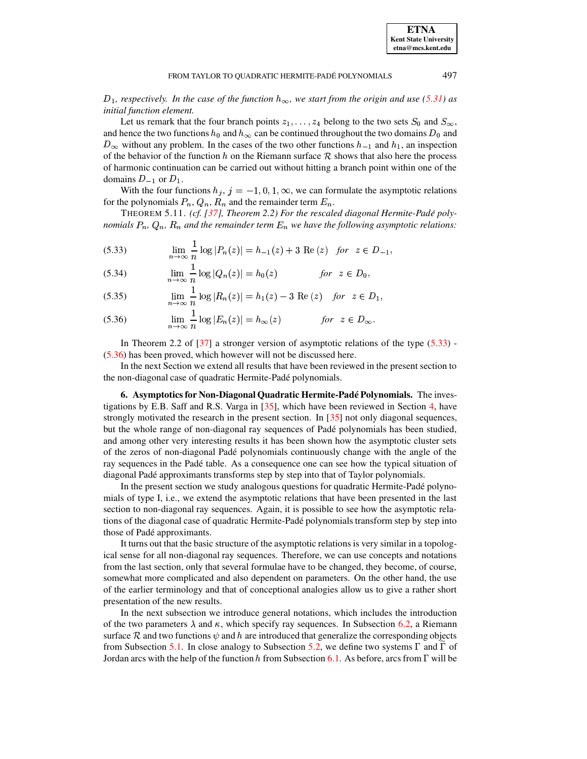$D_1$ , respectively. In the case of the function  $h_{\infty}$ , we start from the origin and use (5.31) as initial function element.

Let us remark that the four branch points  $z_1, \ldots, z_4$  belong to the two sets  $S_0$  and  $S_{\infty}$ , and hence the two functions  $h_0$  and  $h_{\infty}$  can be continued throughout the two domains  $D_0$  and  $D_{\infty}$  without any problem. In the cases of the two other functions  $h_{-1}$  and  $h_1$ , an inspection of the behavior of the function h on the Riemann surface  $R$  shows that also here the process of harmonic continuation can be carried out without hitting a branch point within one of the domains  $D_{-1}$  or  $D_1$ .

With the four functions  $h_j$ ,  $j = -1, 0, 1, \infty$ , we can formulate the asymptotic relations for the polynomials  $P_n$ ,  $Q_n$ ,  $R_n$  and the remainder term  $E_n$ .

THEOREM 5.11. (cf. [37], Theorem 2.2) For the rescaled diagonal Hermite-Padé polynomials  $P_n$ ,  $Q_n$ ,  $R_n$  and the remainder term  $E_n$  we have the following asymptotic relations:

<span id="page-17-1"></span>(5.33) 
$$
\lim_{n \to \infty} \frac{1}{n} \log |P_n(z)| = h_{-1}(z) + 3 \text{ Re}(z) \text{ for } z \in D_{-1},
$$

(5.34) 
$$
\lim_{n \to \infty} \frac{1}{n} \log |Q_n(z)| = h_0(z) \qquad \text{for } z \in D_0,
$$

(5.35) 
$$
\lim_{n \to \infty} \frac{1}{n} \log |R_n(z)| = h_1(z) - 3 \text{ Re}(z) \text{ for } z \in D_1.
$$

<span id="page-17-2"></span>(5.36) 
$$
\lim_{n \to \infty} \frac{1}{n} \log |E_n(z)| = h_{\infty}(z) \quad \text{for } z \in D_{\infty}
$$

In Theorem 2.2 of [37] a stronger version of asymptotic relations of the type  $(5.33)$  - $(5.36)$  has been proved, which however will not be discussed here.

In the next Section we extend all results that have been reviewed in the present section to the non-diagonal case of quadratic Hermite-Padé polynomials.

<span id="page-17-0"></span>6. Asymptotics for Non-Diagonal Quadratic Hermite-Padé Polynomials. The investigations by E.B. Saff and R.S. Varga in [35], which have been reviewed in Section 4, have strongly motivated the research in the present section. In  $\left[35\right]$  not only diagonal sequences, but the whole range of non-diagonal ray sequences of Padé polynomials has been studied, and among other very interesting results it has been shown how the asymptotic cluster sets of the zeros of non-diagonal Padé polynomials continuously change with the angle of the ray sequences in the Padé table. As a consequence one can see how the typical situation of diagonal Padé approximants transforms step by step into that of Taylor polynomials.

In the present section we study analogous questions for quadratic Hermite-Padé polynomials of type I, i.e., we extend the asymptotic relations that have been presented in the last section to non-diagonal ray sequences. Again, it is possible to see how the asymptotic relations of the diagonal case of quadratic Hermite-Padé polynomials transform step by step into those of Padé approximants.

It turns out that the basic structure of the asymptotic relations is very similar in a topological sense for all non-diagonal ray sequences. Therefore, we can use concepts and notations from the last section, only that several formulae have to be changed, they become, of course, somewhat more complicated and also dependent on parameters. On the other hand, the use of the earlier terminology and that of conceptional analogies allow us to give a rather short presentation of the new results.

In the next subsection we introduce general notations, which includes the introduction of the two parameters  $\lambda$  and  $\kappa$ , which specify ray sequences. In Subsection 6.2, a Riemann surface R and two functions  $\psi$  and h are introduced that generalize the corresponding objects from Subsection 5.1. In close analogy to Subsection 5.2, we define two systems  $\Gamma$  and  $\Gamma$  of Jordan arcs with the help of the function h from Subsection 6.1. As before, arcs from  $\Gamma$  will be

497

**ETNA Kent State University** etna@mcs.kent.edu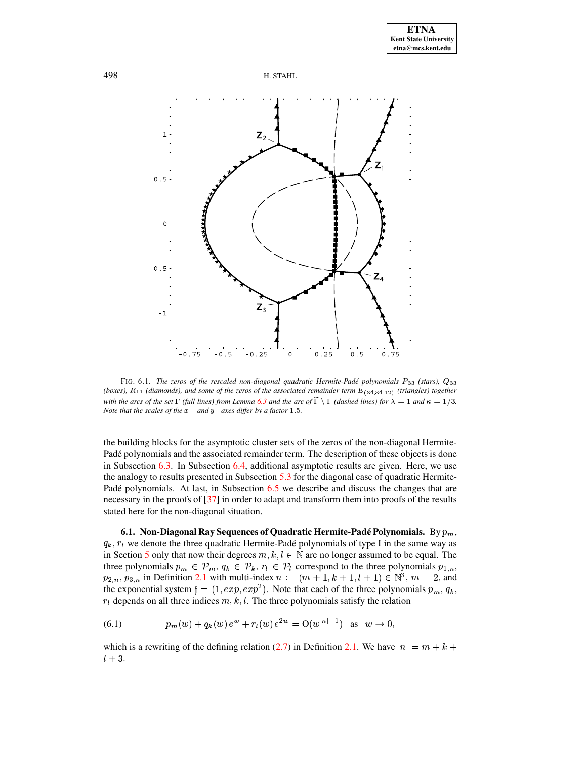



<span id="page-18-2"></span>FIG. 6.1. The zeros of the rescaled non-diagonal quadratic Hermite-Padé polynomials P33 (stars), Q33 (boxes),  $R_{11}$  (diamonds), and some of the zeros of the associated remainder term  $E_{(34,34,12)}$  (triangles) together with the arcs of the set  $\Gamma$  (full lines) from Lemma 6.3 and the arc of  $\tilde{\Gamma} \setminus \Gamma$  (dashed lines) for  $\lambda = 1$  and  $\kappa = 1/3$ . Note that the scales of the  $x-$  and  $y-$ axes differ by a factor 1.5.

the building blocks for the asymptotic cluster sets of the zeros of the non-diagonal Hermite-Padé polynomials and the associated remainder term. The description of these objects is done in Subsection  $6.3$ . In Subsection  $6.4$ , additional asymptotic results are given. Here, we use the analogy to results presented in Subsection  $5.3$  for the diagonal case of quadratic Hermite-Padé polynomials. At last, in Subsection 6.5 we describe and discuss the changes that are necessary in the proofs of [37] in order to adapt and transform them into proofs of the results stated here for the non-diagonal situation.

<span id="page-18-0"></span>6.1. Non-Diagonal Ray Sequences of Quadratic Hermite-Padé Polynomials. By  $p_m$ ,  $q_k$ ,  $r_l$  we denote the three quadratic Hermite-Padé polynomials of type I in the same way as in Section 5 only that now their degrees  $m, k, l \in \mathbb{N}$  are no longer assumed to be equal. The three polynomials  $p_m \in \mathcal{P}_m$ ,  $q_k \in \mathcal{P}_k$ ,  $r_l \in \mathcal{P}_l$  correspond to the three polynomials  $p_{1,n}$ ,  $p_{2,n}, p_{3,n}$  in Definition 2.1 with multi-index  $n := (m + 1, k + 1, l + 1) \in \mathbb{N}^3$ ,  $m = 2$ , and the exponential system  $f = (1, exp, exp^2)$ . Note that each of the three polynomials  $p_m, q_k$ ,  $r_l$  depends on all three indices  $m, k, l$ . The three polynomials satisfy the relation

<span id="page-18-1"></span>(6.1) 
$$
p_m(w) + q_k(w) e^w + r_l(w) e^{2w} = O(w^{|n|-1}) \text{ as } w \to 0,
$$

which is a rewriting of the defining relation (2.7) in Definition 2.1. We have  $|n| = m + k +$  $l+3$ .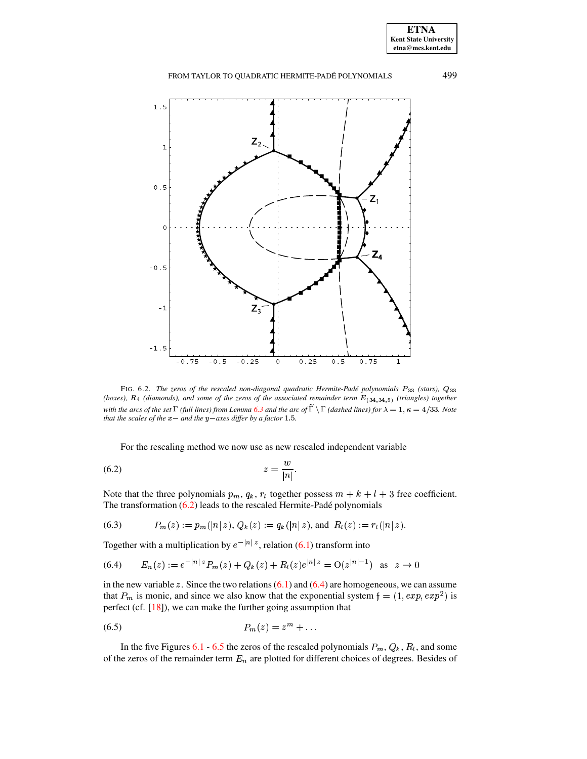

<span id="page-19-2"></span>FIG. 6.2. The zeros of the rescaled non-diagonal quadratic Hermite-Padé polynomials P33 (stars), Q33 (boxes),  $R_4$  (diamonds), and some of the zeros of the associated remainder term  $E_{(34,34,5)}$  (triangles) together with the arcs of the set  $\Gamma$  (full lines) from Lemma 6.3 and the arc of  $\widetilde{\Gamma} \setminus \Gamma$  (dashed lines) for  $\lambda = 1, \kappa = 4/33$ . Note that the scales of the  $x-$  and the  $y-$ axes differ by a factor 1.5.

<span id="page-19-0"></span>For the rescaling method we now use as new rescaled independent variable

$$
(6.2)\t\t\t\t z = \frac{w}{|n|}
$$

Note that the three polynomials  $p_m$ ,  $q_k$ ,  $r_l$  together possess  $m + k + l + 3$  free coefficient. The transformation  $(6.2)$  leads to the rescaled Hermite-Padé polynomials

<span id="page-19-1"></span>(6.3) 
$$
P_m(z) := p_m(|n|z), Q_k(z) := q_k(|n|z), \text{ and } R_l(z) := r_l(|n|z).
$$

Together with a multiplication by  $e^{-|n|z}$ , relation (6.1) transform into

$$
(6.4) \qquad E_n(z) := e^{-|n|z} P_m(z) + Q_k(z) + R_l(z) e^{|n|z} = O(z^{|n|-1}) \quad \text{as} \quad z \to 0
$$

in the new variable z. Since the two relations  $(6.1)$  and  $(6.4)$  are homogeneous, we can assume that  $P_m$  is monic, and since we also know that the exponential system  $f = (1, exp, exp^2)$  is perfect (cf.  $[18]$ ), we can make the further going assumption that

<span id="page-19-3"></span>
$$
(6.5) \t\t\t P_m(z) = z^m + \dots
$$

In the five Figures 6.1 - 6.5 the zeros of the rescaled polynomials  $P_m$ ,  $Q_k$ ,  $R_l$ , and some of the zeros of the remainder term  $E_n$  are plotted for different choices of degrees. Besides of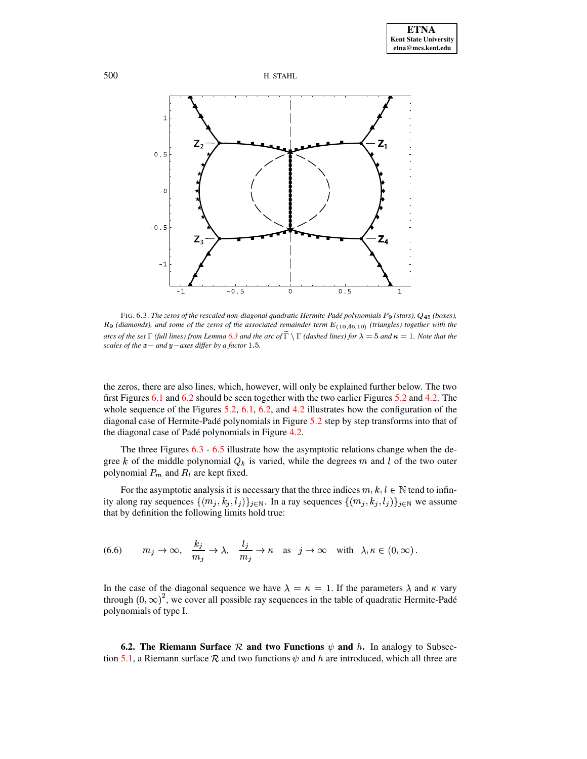



<span id="page-20-1"></span>FIG. 6.3. The zeros of the rescaled non-diagonal quadratic Hermite-Padé polynomials P<sub>9</sub> (stars), Q<sub>45</sub> (boxes),  $R_9$  (diamonds), and some of the zeros of the associated remainder term  $E_{(10,46,10)}$  (triangles) together with the arcs of the set  $\Gamma$  (full lines) from Lemma 6.3 and the arc of  $\widetilde{\Gamma} \setminus \Gamma$  (dashed lines) for  $\lambda = 5$  and  $\kappa = 1$ . Note that the scales of the  $x-$  and  $y-$ axes differ by a factor 1.5.

the zeros, there are also lines, which, however, will only be explained further below. The two first Figures 6.1 and 6.2 should be seen together with the two earlier Figures 5.2 and 4.2. The whole sequence of the Figures 5.2, 6.1, 6.2, and 4.2 illustrates how the configuration of the diagonal case of Hermite-Padé polynomials in Figure 5.2 step by step transforms into that of the diagonal case of Padé polynomials in Figure 4.2.

The three Figures  $6.3 - 6.5$  illustrate how the asymptotic relations change when the degree k of the middle polynomial  $Q_k$  is varied, while the degrees m and l of the two outer polynomial  $P_m$  and  $R_l$  are kept fixed.

<span id="page-20-2"></span>For the asymptotic analysis it is necessary that the three indices  $m, k, l \in \mathbb{N}$  tend to infinity along ray sequences  $\{(m_j, k_j, l_j)\}_{j \in \mathbb{N}}$ . In a ray sequences  $\{(m_j, k_j, l_j)\}_{j \in \mathbb{N}}$  we assume that by definition the following limits hold true:

(6.6) 
$$
m_j \to \infty
$$
,  $\frac{k_j}{m_j} \to \lambda$ ,  $\frac{l_j}{m_j} \to \kappa$  as  $j \to \infty$  with  $\lambda, \kappa \in (0, \infty)$ .

In the case of the diagonal sequence we have  $\lambda = \kappa = 1$ . If the parameters  $\lambda$  and  $\kappa$  vary through  $(0, \infty)^2$ , we cover all possible ray sequences in the table of quadratic Hermite-Padé polynomials of type I.

<span id="page-20-0"></span>**6.2.** The Riemann Surface  $R$  and two Functions  $\psi$  and h. In analogy to Subsection 5.1, a Riemann surface  $R$  and two functions  $\psi$  and h are introduced, which all three are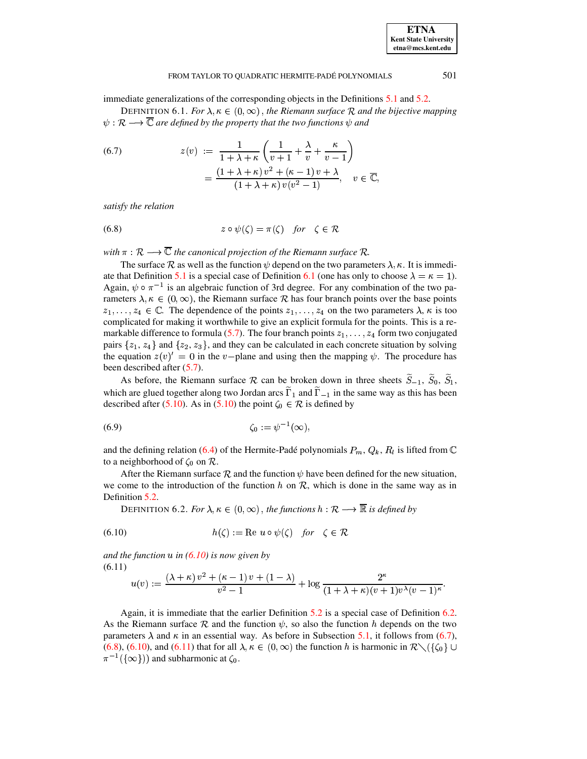# **ETNA Kent State University** etna@mcs.kent.edu

#### FROM TAYLOR TO QUADRATIC HERMITE-PADÉ POLYNOMIALS

<span id="page-21-0"></span>immediate generalizations of the corresponding objects in the Definitions 5.1 and 5.2.

DEFINITION 6.1. For  $\lambda, \kappa \in (0, \infty)$ , the Riemann surface R and the bijective mapping  $\psi: \mathcal{R} \longrightarrow \overline{\mathbb{C}}$  are defined by the property that the two functions  $\psi$  and

<span id="page-21-3"></span>(6.7) 
$$
z(v) := \frac{1}{1 + \lambda + \kappa} \left( \frac{1}{v+1} + \frac{\lambda}{v} + \frac{\kappa}{v-1} \right)
$$

$$
= \frac{(1 + \lambda + \kappa) v^2 + (\kappa - 1) v + \lambda}{(1 + \lambda + \kappa) v (v^2 - 1)}, \quad v \in \overline{\mathbb{C}},
$$

<span id="page-21-4"></span>satisfy the relation

(6.8) 
$$
z \circ \psi(\zeta) = \pi(\zeta) \quad \text{for} \quad \zeta \in \mathcal{R}
$$

with  $\pi : \mathcal{R} \longrightarrow \overline{\mathbb{C}}$  the canonical projection of the Riemann surface  $\mathcal{R}$ .

The surface R as well as the function  $\psi$  depend on the two parameters  $\lambda$ ,  $\kappa$ . It is immediate that Definition 5.1 is a special case of Definition 6.1 (one has only to choose  $\lambda = \kappa = 1$ ). Again,  $\psi \circ \pi^{-1}$  is an algebraic function of 3rd degree. For any combination of the two parameters  $\lambda, \kappa \in (0, \infty)$ , the Riemann surface  $\mathcal R$  has four branch points over the base points  $z_1, \ldots, z_4 \in \mathbb{C}$ . The dependence of the points  $z_1, \ldots, z_4$  on the two parameters  $\lambda$ ,  $\kappa$  is too complicated for making it worthwhile to give an explicit formula for the points. This is a remarkable difference to formula (5.7). The four branch points  $z_1, \ldots, z_4$  form two conjugated pairs  $\{z_1, z_4\}$  and  $\{z_2, z_3\}$ , and they can be calculated in each concrete situation by solving the equation  $z(v)' = 0$  in the v-plane and using then the mapping  $\psi$ . The procedure has been described after  $(5.7)$ .

As before, the Riemann surface  $\mathcal R$  can be broken down in three sheets  $\tilde{S}_{-1}$ ,  $\tilde{S}_0$ ,  $\tilde{S}_1$ , which are glued together along two Jordan arcs  $\tilde{\Gamma}_1$  and  $\tilde{\Gamma}_{-1}$  in the same way as this has been described after (5.10). As in (5.10) the point  $\zeta_0 \in \mathcal{R}$  is defined by

$$
\zeta_0 := \psi^{-1}(\infty),
$$

and the defining relation (6.4) of the Hermite-Padé polynomials  $P_m$ ,  $Q_k$ ,  $R_l$  is lifted from  $\mathbb C$ to a neighborhood of  $\zeta_0$  on  $\mathcal{R}$ .

<span id="page-21-2"></span>After the Riemann surface R and the function  $\psi$  have been defined for the new situation, we come to the introduction of the function  $h$  on  $\mathcal{R}$ , which is done in the same way as in Definition 5.2.

<span id="page-21-1"></span>DEFINITION 6.2. For  $\lambda, \kappa \in (0, \infty)$ , the functions  $h : \mathcal{R} \longrightarrow \overline{\mathbb{R}}$  is defined by

$$
(6.10) \quad h(\zeta) := \text{Re } u \circ \psi(\zeta) \quad \text{for} \quad \zeta \in \mathcal{R}
$$

and the function u in  $(6.10)$  is now given by  $(6.11)$ 

<span id="page-21-5"></span>
$$
u(v) := \frac{(\lambda + \kappa) v^2 + (\kappa - 1) v + (1 - \lambda)}{v^2 - 1} + \log \frac{2^{\kappa}}{(1 + \lambda + \kappa)(v + 1)v^{\lambda}(v - 1)^{\kappa}}.
$$

Again, it is immediate that the earlier Definition 5.2 is a special case of Definition 6.2. As the Riemann surface R and the function  $\psi$ , so also the function h depends on the two parameters  $\lambda$  and  $\kappa$  in an essential way. As before in Subsection 5.1, it follows from (6.7), (6.8), (6.10), and (6.11) that for all  $\lambda, \kappa \in (0, \infty)$  the function h is harmonic in  $\mathcal{R} \setminus (\{\zeta_0\} \cup$  $\pi^{-1}(\{\infty\})$  and subharmonic at  $\zeta_0$ .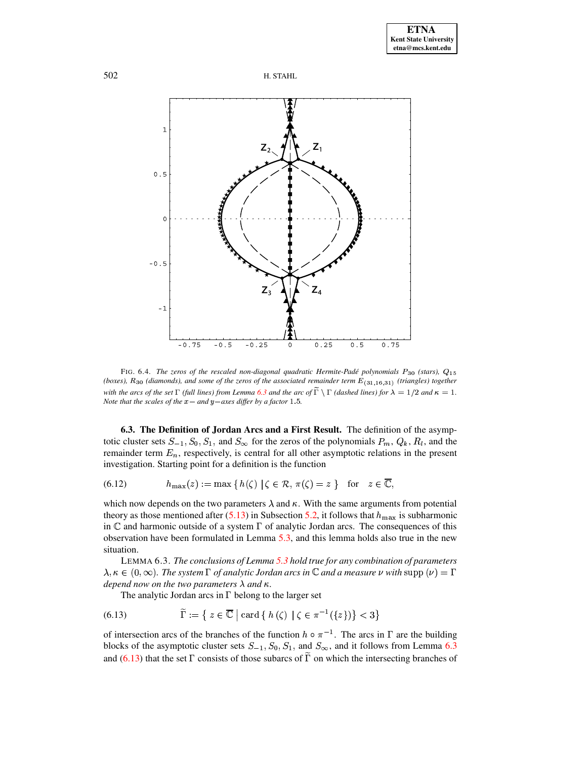



<span id="page-22-3"></span>FIG. 6.4. The zeros of the rescaled non-diagonal quadratic Hermite-Padé polynomials  $P_{30}$  (stars),  $Q_{15}$ (boxes), R<sub>30</sub> (diamonds), and some of the zeros of the associated remainder term  $E_{(31,16,31)}$  (triangles) together with the arcs of the set  $\Gamma$  (full lines) from Lemma 6.3 and the arc of  $\tilde{\Gamma} \setminus \Gamma$  (dashed lines) for  $\lambda = 1/2$  and  $\kappa = 1$ . Note that the scales of the  $x-$  and  $y-$ axes differ by a factor 1.5.

<span id="page-22-1"></span>**6.3. The Definition of Jordan Arcs and a First Result.** The definition of the asymptotic cluster sets  $S_{-1}$ ,  $S_0$ ,  $S_1$ , and  $S_{\infty}$  for the zeros of the polynomials  $P_m$ ,  $Q_k$ ,  $R_l$ , and the remainder term  $E_n$ , respectively, is central for all other asymptotic relations in the present investigation. Starting point for a definition is the function

 $h_{\max}(z) := \max\{h(\zeta) | \zeta \in \mathcal{R}, \pi(\zeta) = z\}$  for  $z \in \overline{\mathbb{C}},$  $(6.12)$ 

which now depends on the two parameters  $\lambda$  and  $\kappa$ . With the same arguments from potential theory as those mentioned after (5.13) in Subsection 5.2, it follows that  $h_{\text{max}}$  is subharmonic in  $\mathbb C$  and harmonic outside of a system  $\Gamma$  of analytic Jordan arcs. The consequences of this observation have been formulated in Lemma 5.3, and this lemma holds also true in the new situation.

<span id="page-22-0"></span>LEMMA 6.3. The conclusions of Lemma 5.3 hold true for any combination of parameters  $\lambda, \kappa \in (0, \infty)$ . The system  $\Gamma$  of analytic Jordan arcs in  $\mathbb C$  and a measure  $\nu$  with supp  $(\nu) = \Gamma$ depend now on the two parameters  $\lambda$  and  $\kappa$ .

<span id="page-22-2"></span>The analytic Jordan arcs in  $\Gamma$  belong to the larger set

(6.13) 
$$
\widetilde{\Gamma} := \left\{ z \in \overline{\mathbb{C}} \mid \text{card} \left\{ h \left( \zeta \right) \mid \zeta \in \pi^{-1}(\{z\}) \right\} < 3 \right\}
$$

of intersection arcs of the branches of the function  $h \circ \pi^{-1}$ . The arcs in  $\Gamma$  are the building blocks of the asymptotic cluster sets  $S_{-1}$ ,  $S_0$ ,  $S_1$ , and  $S_{\infty}$ , and it follows from Lemma 6.3 and (6.13) that the set  $\Gamma$  consists of those subarcs of  $\tilde{\Gamma}$  on which the intersecting branches of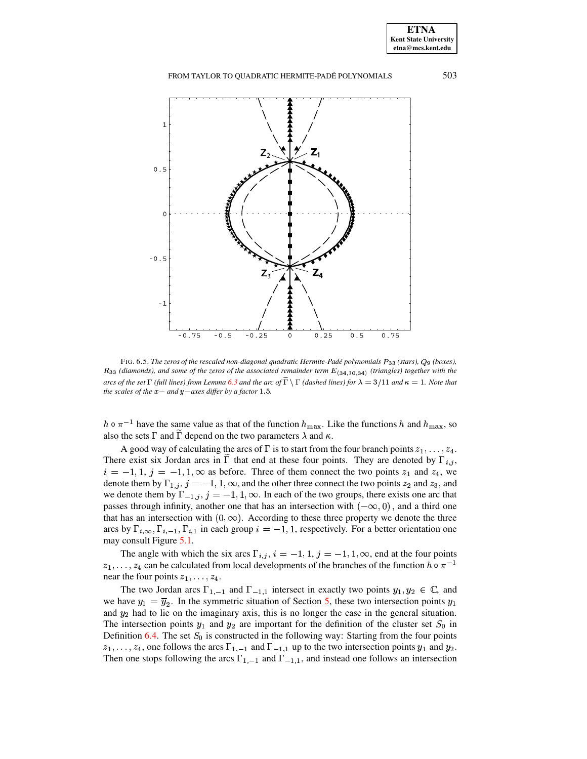FROM TAYLOR TO QUADRATIC HERMITE-PADÉ POLYNOMIALS 503



<span id="page-23-0"></span>FIG. 6.5. *The zeros of the rescaled non-diagonal quadratic Hermite-Pade´ polynomials* Ú\Ú *(stars),* <sup>±</sup> *(boxes),*  $R_{33}$  (diamonds), and some of the zeros of the associated remainder term  $E_{(34,10,34)}$  (triangles) together with the arcs of the set  $\Gamma$  (full lines) from Lemma [6.3](#page-22-0) and the arc of  $\Gamma \setminus \Gamma$  (dashed lines) for  $\lambda = 3/11$  and  $\kappa = 1$ . Note that *the scales of the*  $x$ *- and*  $y$ *-axes differ by a factor* 1.5.

 $h \circ \pi^{-1}$  have the same value as that of the function  $h_{\max}$ . Like the functions h and  $h_{\max}$ , so also the sets  $\Gamma$  and  $\Gamma$  depend on the two parameters  $\lambda$  and  $\kappa$ .

A good way of calculating the arcs of  $\Gamma$  is to start from the four branch points  $z_1, \ldots, z_4$ . There exist six Jordan arcs in  $\Gamma$  that end at these four points. They are denoted by  $\Gamma_{i,j}$ ,  $i = -1, 1, j = -1, 1, \infty$  as before. Three of them connect the two points  $z_1$  and  $z_4$ , we denote them by  $\Gamma_{1,j}$ ,  $j = -1, 1, \infty$ , and the other three connect the two points  $z_2$  and  $z_3$ , and we denote them by  $\Gamma_{-1,j}$ ,  $j = -1, 1, \infty$ . In each of the two groups, there exists one arc that passes through infinity, another one that has an intersection with  $(-\infty, 0)$ , and a third one that has an intersection with  $(0, \infty)$ . According to these three property we denote the three arcs by  $\Gamma_{i,\infty}$ ,  $\Gamma_{i,-1}$ ,  $\Gamma_{i,1}$  in each group  $i = -1, 1$ , respectively. For a better orientation one may consult Figure [5.1.](#page-13-1)

The angle with which the six arcs  $\Gamma_{i,j}$ ,  $i = -1, 1, j = -1, 1, \infty$ , end at the four points  $z_1, \ldots, z_4$  can be calculated from local developments of the branches of the function  $h \circ \pi^{-1}$ near the four points  $z_1, \ldots, z_4$ .

The two Jordan arcs  $\Gamma_{1,-1}$  and  $\Gamma_{-1,1}$  intersect in exactly two points  $y_1, y_2 \in \mathbb{C}$ , and we have  $y_1 = \overline{y}_2$ . In the symmetric situation of Section [5,](#page-9-0) these two intersection points  $y_1$ and  $y_2$  had to lie on the imaginary axis, this is no longer the case in the general situation. The intersection points  $y_1$  and  $y_2$  are important for the definition of the cluster set  $S_0$  in Definition [6.4.](#page-24-0) The set  $S_0$  is constructed in the following way: Starting from the four points  $z_1, \ldots, z_4$ , one follows the arcs  $\Gamma_{1,-1}$  and  $\Gamma_{-1,1}$  up to the two intersection points  $y_1$  and  $y_2$ . Then one stops following the arcs  $\Gamma_{1,-1}$  and  $\Gamma_{-1,1}$ , and instead one follows an intersection

**ETNA Kent State University etna@mcs.kent.edu**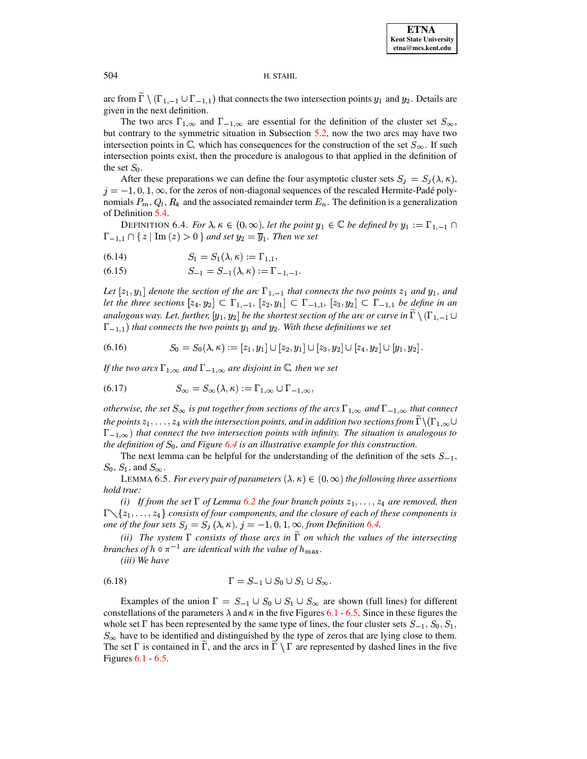arc from  $\overline{\Gamma} \setminus (\Gamma_{1,-1} \cup \Gamma_{-1,1})$  that connects the two intersection points  $y_1$  and  $y_2$ . Details are given in the next definition.

The two arcs  $\Gamma_{1,\infty}$  and  $\Gamma_{-1,\infty}$  are essential for the definition of the cluster set  $S_{\infty}$ , but contrary to the symmetric situation in Subsection 5.2, now the two arcs may have two intersection points in  $\mathbb{C}$ , which has consequences for the construction of the set  $S_{\infty}$ . If such intersection points exist, then the procedure is analogous to that applied in the definition of the set  $S_0$ .

After these preparations we can define the four asymptotic cluster sets  $S_i = S_i(\lambda, \kappa)$ ,  $j = -1, 0, 1, \infty$ , for the zeros of non-diagonal sequences of the rescaled Hermite-Padé polynomials  $P_m, Q_l, R_k$  and the associated remainder term  $E_n$ . The definition is a generalization of Definition 5.4.

<span id="page-24-0"></span>DEFINITION 6.4. For  $\lambda, \kappa \in (0, \infty)$ , let the point  $y_1 \in \mathbb{C}$  be defined by  $y_1 := \Gamma_{1,-1} \cap$  $\Gamma_{-1,1} \cap \{z \mid \text{Im}(z) > 0\}$  and set  $y_2 = \overline{y}_1$ . Then we set

(6.14) 
$$
S_1 = S_1(\lambda, \kappa) := \Gamma_{1,1},
$$

 $S_{-1} = S_{-1}(\lambda, \kappa) := \Gamma_{-1,-1}.$  $(6.15)$ 

Let  $[z_1, y_1]$  denote the section of the arc  $\Gamma_{1,-1}$  that connects the two points  $z_1$  and  $y_1$ , and let the three sections  $[z_4,y_2] \subset \Gamma_{1,-1}$ ,  $[z_2,y_1] \subset \Gamma_{-1,1}$ ,  $[z_3,y_2] \subset \Gamma_{-1,1}$  be define in an analogous way. Let, further,  $[y_1, y_2]$  be the shortest section of the arc or curve in  $\tilde{\Gamma} \setminus (\Gamma_{1,-1} \cup$  $\Gamma_{-1,1}$ ) that connects the two points  $y_1$  and  $y_2$ . With these definitions we set

$$
(6.16) \tS_0 = S_0(\lambda, \kappa) := [z_1, y_1] \cup [z_2, y_1] \cup [z_3, y_2] \cup [z_4, y_2] \cup [y_1, y_2].
$$

If the two arcs  $\Gamma_{1,\infty}$  and  $\Gamma_{-1,\infty}$  are disjoint in  $\mathbb C$ , then we set

(6.17) 
$$
S_{\infty} = S_{\infty}(\lambda, \kappa) := \Gamma_{1, \infty} \cup \Gamma_{-1, \infty},
$$

otherwise, the set  $S_{\infty}$  is put together from sections of the arcs  $\Gamma_{1,\infty}$  and  $\Gamma_{-1,\infty}$  that connect the points  $z_1, \ldots, z_4$  with the intersection points, and in addition two sections from  $\Gamma \backslash (\Gamma_{1,\infty} \cup$  $\Gamma_{-1,\infty}$ ) that connect the two intersection points with infinity. The situation is analogous to the definition of  $S_0$ , and Figure 6.4 is an illustrative example for this construction.

The next lemma can be helpful for the understanding of the definition of the sets  $S_{-1}$ ,  $S_0$ ,  $S_1$ , and  $S_{\infty}$ .

LEMMA 6.5. For every pair of parameters  $(\lambda, \kappa) \in (0, \infty)$  the following three assertions hold true:

(i) If from the set  $\Gamma$  of Lemma 6.2 the four branch points  $z_1, \ldots, z_4$  are removed, then  $\Gamma \setminus \{z_1, \ldots, z_4\}$  consists of four components, and the closure of each of these components is one of the four sets  $S_i = S_i(\lambda, \kappa)$ ,  $j = -1, 0, 1, \infty$ , from Definition 6.4.

(ii) The system  $\Gamma$  consists of those arcs in  $\tilde{\Gamma}$  on which the values of the intersecting branches of  $h \circ \pi^{-1}$  are identical with the value of  $h_{\text{max}}$ .

(iii) We have

$$
(6.18)\qquad \qquad \Gamma = S_{-1} \cup S_0 \cup S_1 \cup S_{\infty}.
$$

Examples of the union  $\Gamma = S_{-1} \cup S_0 \cup S_1 \cup S_{\infty}$  are shown (full lines) for different constellations of the parameters  $\lambda$  and  $\kappa$  in the five Figures 6.1 - 6.5. Since in these figures the whole set  $\Gamma$  has been represented by the same type of lines, the four cluster sets  $S_{-1}$ ,  $S_0$ ,  $S_1$ ,  $S_{\infty}$  have to be identified and distinguished by the type of zeros that are lying close to them. The set  $\Gamma$  is contained in  $\Gamma$ , and the arcs in  $\Gamma \setminus \Gamma$  are represented by dashed lines in the five Figures  $6.1 - 6.5$ .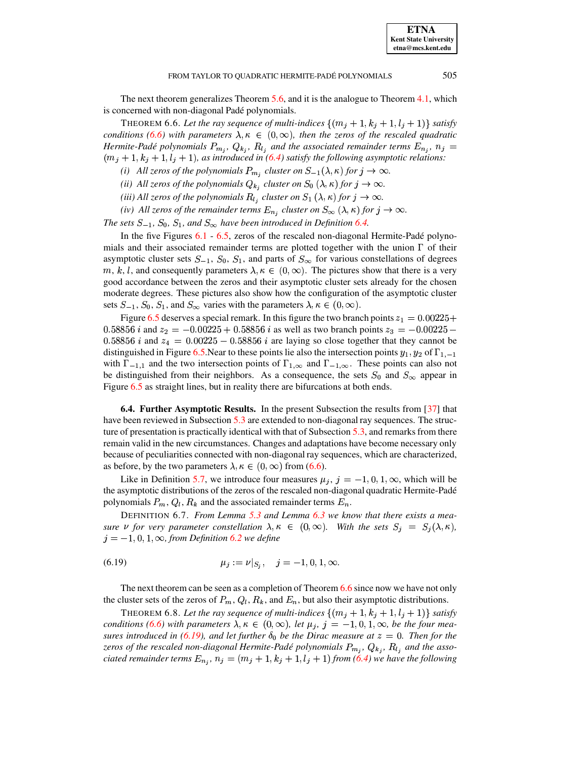#### FROM TAYLOR TO QUADRATIC HERMITE-PADÉ POLYNOMIALS

<span id="page-25-1"></span>The next theorem generalizes Theorem 5.6, and it is the analogue to Theorem 4.1, which is concerned with non-diagonal Padé polynomials.

THEOREM 6.6. Let the ray sequence of multi-indices  $\{(m_j+1, k_j+1, l_j+1)\}\$  satisfy conditions (6.6) with parameters  $\lambda, \kappa \in (0, \infty)$ , then the zeros of the rescaled quadratic Hermite-Padé polynomials  $P_{m_j}$ ,  $Q_{k_j}$ ,  $R_{l_j}$  and the associated remainder terms  $E_{n_j}$ ,  $n_j =$  $(m_j+1, k_j+1, l_j+1)$ , as introduced in (6.4) satisfy the following asymptotic relations:

(i) All zeros of the polynomials  $P_{m_j}$  cluster on  $S_{-1}(\lambda, \kappa)$  for  $j \to \infty$ .

(ii) All zeros of the polynomials  $Q_{k_i}$  cluster on  $S_0(\lambda, \kappa)$  for  $j \to \infty$ .

(iii) All zeros of the polynomials  $R_{l_j}$  cluster on  $S_1(\lambda, \kappa)$  for  $j \to \infty$ .

(iv) All zeros of the remainder terms  $E_{n_j}$  cluster on  $S_{\infty}(\lambda, \kappa)$  for  $j \to \infty$ .

The sets  $S_{-1}$ ,  $S_0$ ,  $S_1$ , and  $S_{\infty}$  have been introduced in Definition 6.4.

In the five Figures  $6.1 - 6.5$ , zeros of the rescaled non-diagonal Hermite-Padé polynomials and their associated remainder terms are plotted together with the union  $\Gamma$  of their asymptotic cluster sets  $S_{-1}$ ,  $S_0$ ,  $S_1$ , and parts of  $S_{\infty}$  for various constellations of degrees m, k, l, and consequently parameters  $\lambda, \kappa \in (0, \infty)$ . The pictures show that there is a very good accordance between the zeros and their asymptotic cluster sets already for the chosen moderate degrees. These pictures also show how the configuration of the asymptotic cluster sets  $S_{-1}$ ,  $S_0$ ,  $S_1$ , and  $S_{\infty}$  varies with the parameters  $\lambda, \kappa \in (0, \infty)$ .

Figure 6.5 deserves a special remark. In this figure the two branch points  $z_1 = 0.00225 +$ 0.58856 *i* and  $z_2 = -0.00225 + 0.58856$  *i* as well as two branch points  $z_3 = -0.00225 -$ 0.58856 *i* and  $z_4 = 0.00225 - 0.58856$  *i* are laying so close together that they cannot be distinguished in Figure 6.5. Near to these points lie also the intersection points  $y_1, y_2$  of  $\Gamma_{1,-1}$ with  $\Gamma_{-1,1}$  and the two intersection points of  $\Gamma_{1,\infty}$  and  $\Gamma_{-1,\infty}$ . These points can also not be distinguished from their neighbors. As a consequence, the sets  $S_0$  and  $S_{\infty}$  appear in Figure  $6.5$  as straight lines, but in reality there are bifurcations at both ends.

<span id="page-25-0"></span>**6.4. Further Asymptotic Results.** In the present Subsection the results from [37] that have been reviewed in Subsection 5.3 are extended to non-diagonal ray sequences. The structure of presentation is practically identical with that of Subsection  $5.3$ , and remarks from there remain valid in the new circumstances. Changes and adaptations have become necessary only because of peculiarities connected with non-diagonal ray sequences, which are characterized, as before, by the two parameters  $\lambda, \kappa \in (0, \infty)$  from (6.6).

Like in Definition 5.7, we introduce four measures  $\mu_j$ ,  $j = -1, 0, 1, \infty$ , which will be the asymptotic distributions of the zeros of the rescaled non-diagonal quadratic Hermite-Padé polynomials  $P_m$ ,  $Q_l$ ,  $R_k$  and the associated remainder terms  $E_n$ .

<span id="page-25-2"></span>DEFINITION 6.7. From Lemma 5.3 and Lemma 6.3 we know that there exists a measure v for very parameter constellation  $\lambda, \kappa \in (0, \infty)$ . With the sets  $S_j = S_j(\lambda, \kappa)$ ,  $j = -1, 0, 1, \infty$ , from Definition 6.2 we define

(6.19) 
$$
\mu_j := \nu|_{S_j}, \quad j = -1, 0, 1, \infty.
$$

The next theorem can be seen as a completion of Theorem  $6.6$  since now we have not only the cluster sets of the zeros of  $P_m$ ,  $Q_l$ ,  $R_k$ , and  $E_n$ , but also their asymptotic distributions.

THEOREM 6.8. Let the ray sequence of multi-indices  $\{(m_j+1, k_j+1, l_j+1)\}\$  satisfy conditions (6.6) with parameters  $\lambda, \kappa \in (0, \infty)$ , let  $\mu_j$ ,  $j = -1, 0, 1, \infty$ , be the four measures introduced in (6.19), and let further  $\delta_0$  be the Dirac measure at  $z = 0$ . Then for the zeros of the rescaled non-diagonal Hermite-Padé polynomials  $P_{m_j}$ ,  $Q_{k_j}$ ,  $R_{l_j}$  and the associated remainder terms  $E_{n_j}$ ,  $n_j = (m_j + 1, k_j + 1, l_j + 1)$  from (6.4) we have the following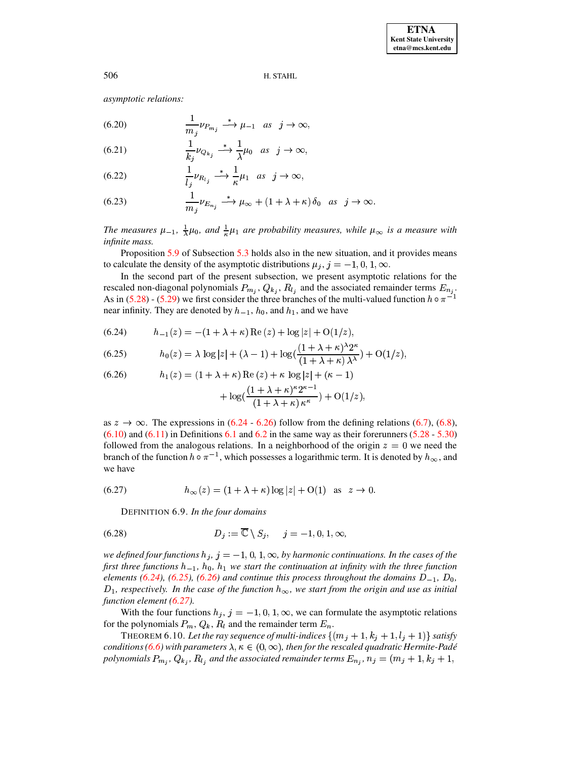asymptotic relations:

(6.20) 
$$
\frac{1}{m_j} \nu_{P_{m_j}} \stackrel{*}{\longrightarrow} \mu_{-1} \text{ as } j \to \infty,
$$

(6.21) 
$$
\frac{1}{k_j} \nu_{Q_{k_j}} \stackrel{*}{\longrightarrow} \frac{1}{\lambda} \mu_0 \text{ as } j \to \infty
$$

(6.22) 
$$
\frac{1}{l_j}\nu_{R_{l_j}} \stackrel{*}{\longrightarrow} \frac{1}{\kappa}\mu_1 \text{ as } j \to \infty,
$$

(6.23) 
$$
\frac{1}{m_j}\nu_{E_{n_j}} \stackrel{*}{\longrightarrow} \mu_{\infty} + (1 + \lambda + \kappa)\,\delta_0 \text{ as } j \to \infty.
$$

The measures  $\mu_{-1}$ ,  $\frac{1}{\lambda}\mu_0$ , and  $\frac{1}{\kappa}\mu_1$  are probability measures, while  $\mu_{\infty}$  is a measure with infinite mass.

Proposition 5.9 of Subsection 5.3 holds also in the new situation, and it provides means to calculate the density of the asymptotic distributions  $\mu_i$ ,  $j = -1, 0, 1, \infty$ .

In the second part of the present subsection, we present asymptotic relations for the In the second part of the present server of the associated remainder terms  $E_{n_j}$ .<br>rescaled non-diagonal polynomials  $P_{m_j}$ ,  $Q_{k_j}$ ,  $R_{l_j}$  and the associated remainder terms  $E_{n_j}$ . As in (5.28) - (5.29) we first consider the three branches of the multi-valued function  $h \circ \pi^$ near infinity. They are denoted by  $h_{-1}$ ,  $h_0$ , and  $h_1$ , and we have

<span id="page-26-0"></span>(6.24) 
$$
h_{-1}(z) = -(1 + \lambda + \kappa) \operatorname{Re}(z) + \log|z| + O(1/z),
$$

<span id="page-26-2"></span>(6.25) 
$$
h_0(z) = \lambda \log|z| + (\lambda - 1) + \log(\frac{(1 + \lambda + \kappa)^{\lambda} 2^{\kappa}}{(1 + \lambda + \kappa) \lambda^{\lambda}}) + O(1/z),
$$

<span id="page-26-1"></span>(6.26) 
$$
h_1(z) = (1 + \lambda + \kappa) \operatorname{Re}(z) + \kappa \log |z| + (\kappa - 1) + \log(\frac{(1 + \lambda + \kappa)^{\kappa} 2^{\kappa - 1}}{(1 + \lambda + \kappa) \kappa^{\kappa}}) + O(1/z).
$$

as  $z \to \infty$ . The expressions in (6.24 - 6.26) follow from the defining relations (6.7), (6.8),  $(6.10)$  and  $(6.11)$  in Definitions 6.1 and 6.2 in the same way as their forerunners  $(5.28 - 5.30)$ followed from the analogous relations. In a neighborhood of the origin  $z = 0$  we need the branch of the function  $h \circ \pi^{-1}$ , which possesses a logarithmic term. It is denoted by  $h_{\infty}$ , and we have

<span id="page-26-3"></span>(6.27) 
$$
h_{\infty}(z) = (1 + \lambda + \kappa) \log |z| + O(1) \text{ as } z \to 0.
$$

DEFINITION 6.9. In the four domains

$$
(6.28) \t\t D_j := \overline{\mathbb{C}} \setminus S_j, \quad j = -1, 0, 1, \infty,
$$

we defined four functions  $h_j$ ,  $j = -1, 0, 1, \infty$ , by harmonic continuations. In the cases of the first three functions  $h_{-1}$ ,  $h_0$ ,  $h_1$  we start the continuation at infinity with the three function elements (6.24), (6.25), (6.26) and continue this process throughout the domains  $D_{-1}$ ,  $D_0$ ,  $D_1$ , respectively. In the case of the function  $h_{\infty}$ , we start from the origin and use as initial function element  $(6.27)$ .

With the four functions  $h_j$ ,  $j = -1, 0, 1, \infty$ , we can formulate the asymptotic relations for the polynomials  $P_m$ ,  $Q_k$ ,  $R_l$  and the remainder term  $E_n$ .

THEOREM 6.10. Let the ray sequence of multi-indices  $\{(m_j+1, k_j+1, l_j+1)\}$  satisfy conditions (6.6) with parameters  $\lambda, \kappa \in (0, \infty)$ , then for the rescaled quadratic Hermite-Padé polynomials  $P_{m_i}$ ,  $Q_{k_i}$ ,  $R_{l_i}$  and the associated remainder terms  $E_{n_i}$ ,  $n_j = (m_j + 1, k_j + 1,$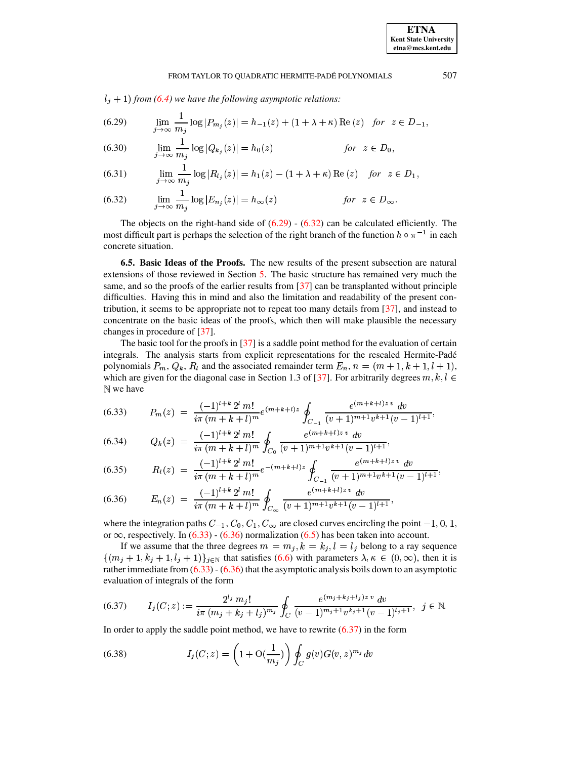$l_j + 1$ ) from (6.4) we have the following asymptotic relations:

<span id="page-27-1"></span>(6.29) 
$$
\lim_{j \to \infty} \frac{1}{m_j} \log |P_{m_j}(z)| = h_{-1}(z) + (1 + \lambda + \kappa) \operatorname{Re}(z) \text{ for } z \in D_{-1}
$$

(6.30) 
$$
\lim_{j \to \infty} \frac{1}{m_j} \log |Q_{k_j}(z)| = h_0(z) \qquad \text{for } z \in D_0,
$$

(6.31) 
$$
\lim_{j \to \infty} \frac{1}{m_j} \log |R_{l_j}(z)| = h_1(z) - (1 + \lambda + \kappa) \operatorname{Re}(z) \text{ for } z \in D_1,
$$

<span id="page-27-2"></span>(6.32) 
$$
\lim_{j \to \infty} \frac{1}{m_j} \log |E_{n_j}(z)| = h_{\infty}(z) \qquad \text{for } z \in D_{\infty}
$$

The objects on the right-hand side of  $(6.29) - (6.32)$  can be calculated efficiently. The most difficult part is perhaps the selection of the right branch of the function  $h \circ \pi^{-1}$  in each concrete situation.

<span id="page-27-0"></span>**6.5. Basic Ideas of the Proofs.** The new results of the present subsection are natural extensions of those reviewed in Section 5. The basic structure has remained very much the same, and so the proofs of the earlier results from [37] can be transplanted without principle difficulties. Having this in mind and also the limitation and readability of the present contribution, it seems to be appropriate not to repeat too many details from  $[37]$ , and instead to concentrate on the basic ideas of the proofs, which then will make plausible the necessary changes in procedure of [37].

The basic tool for the proofs in  $[37]$  is a saddle point method for the evaluation of certain integrals. The analysis starts from explicit representations for the rescaled Hermite-Padé polynomials  $P_m$ ,  $Q_k$ ,  $R_l$  and the associated remainder term  $E_n$ ,  $n = (m+1, k+1, l+1)$ , which are given for the diagonal case in Section 1.3 of [37]. For arbitrarily degrees  $m, k, l \in$ N we have

<span id="page-27-3"></span>
$$
(6.33) \qquad P_m(z) = \frac{(-1)^{l+k} 2^l m!}{i\pi (m+k+l)^m} e^{(m+k+l)z} \oint_{C_{-1}} \frac{e^{(m+k+l)z} v dv}{(v+1)^{m+1} v^{k+1} (v-1)^{l+1}},
$$

(6.34) 
$$
Q_k(z) = \frac{(-1)^{l+k} 2^l m!}{i \pi (m+k+l)^m} \oint_{C_0} \frac{e^{(m+k+l)z v} dv}{(v+1)^{m+1} v^{k+1} (v-1)^{l+1}},
$$

$$
(6.35) \qquad R_l(z) = \frac{(-1)^{l+k} 2^l m!}{i \pi (m+k+l)^m} e^{-(m+k+l)z} \oint_{C_{-1}} \frac{e^{(m+k+l)z v} dv}{(v+1)^{m+1} v^{k+1} (v-1)^{l+1}},
$$

<span id="page-27-4"></span>(6.36) 
$$
E_n(z) = \frac{(-1)^{l+k} 2^l m!}{i \pi (m+k+l)^m} \oint_{C_\infty} \frac{e^{(m+k+l)z v} dv}{(v+1)^{m+1} v^{k+1} (v-1)^{l+1}},
$$

where the integration paths  $C_{-1}$ ,  $C_0$ ,  $C_1$ ,  $C_{\infty}$  are closed curves encircling the point  $-1$ , 0, 1, or  $\infty$ , respectively. In (6.33) - (6.36) normalization (6.5) has been taken into account.

If we assume that the three degrees  $m = m_j, k = k_j, l = l_j$  belong to a ray sequence  $\{(m_i+1, k_i+1, l_i+1)\}_{i\in\mathbb{N}}$  that satisfies (6.6) with parameters  $\lambda, \kappa \in (0, \infty)$ , then it is rather immediate from  $(6.33)$  -  $(6.36)$  that the asymptotic analysis boils down to an asymptotic evaluation of integrals of the form

<span id="page-27-5"></span>
$$
(6.37) \qquad I_j(C; z) := \frac{2^{l_j} m_j!}{i \pi (m_j + k_j + l_j)^{m_j}} \oint_C \frac{e^{(m_j + k_j + l_j) z \, v} \, dv}{(v - 1)^{m_j + 1} v^{k_j + 1} (v - 1)^{l_j + 1}}, \ \ j \in \mathbb{N}.
$$

<span id="page-27-6"></span>In order to apply the saddle point method, we have to rewrite  $(6.37)$  in the form

(6.38) 
$$
I_j(C; z) = \left(1 + \mathcal{O}(\frac{1}{m_j})\right) \oint_C g(v) G(v, z)^{m_j} dv
$$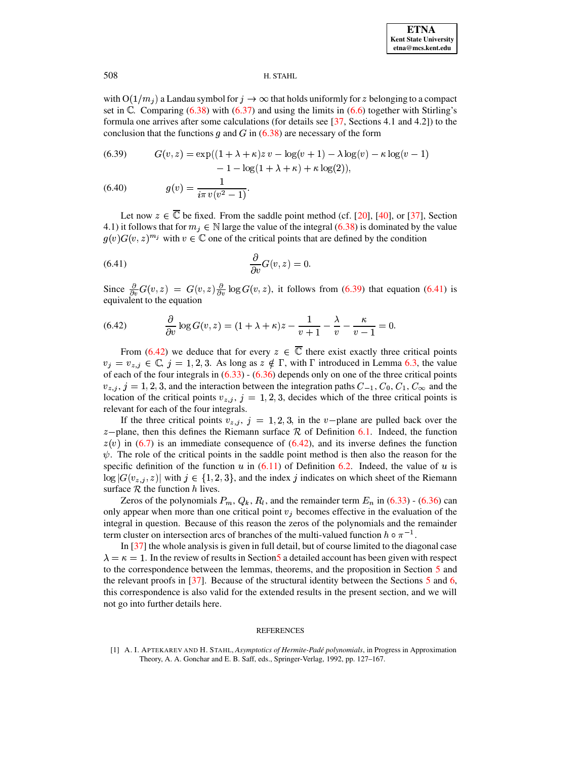with  $O(1/m_i)$  a Landau symbol for  $j \to \infty$  that holds uniformly for z belonging to a compact set in  $\mathbb{C}$ . Comparing (6.38) with (6.37) and using the limits in (6.6) together with Stirling's formula one arrives after some calculations (for details see  $[37,$  Sections 4.1 and 4.2]) to the conclusion that the functions g and G in  $(6.38)$  are necessary of the form

<span id="page-28-1"></span>(6.39) 
$$
G(v, z) = \exp((1 + \lambda + \kappa)z v - \log(v + 1) - \lambda \log(v) - \kappa \log(v - 1) - 1 - \log(1 + \lambda + \kappa) + \kappa \log(2)),
$$

(6.40) 
$$
g(v) = \frac{1}{i\pi v(v^2 - 1)}.
$$

Let now  $z \in \overline{\mathbb{C}}$  be fixed. From the saddle point method (cf. [20], [40], or [37], Section 4.1) it follows that for  $m_j \in \mathbb{N}$  large the value of the integral (6.38) is dominated by the value  $g(v)G(v, z)^{m_j}$  with  $v \in \mathbb{C}$  one of the critical points that are defined by the condition

<span id="page-28-2"></span>
$$
(6.41)\qquad \qquad \frac{\partial}{\partial v}G(v,z)=0
$$

<span id="page-28-3"></span>Since  $\frac{\partial}{\partial v}G(v, z) = G(v, z)\frac{\partial}{\partial v}\log G(v, z)$ , it follows from (6.39) that equation (6.41) is equivalent to the equation

(6.42) 
$$
\frac{\partial}{\partial v}\log G(v,z)=(1+\lambda+\kappa)z-\frac{1}{v+1}-\frac{\lambda}{v}-\frac{\kappa}{v-1}=0.
$$

From (6.42) we deduce that for every  $z \in \overline{\mathbb{C}}$  there exist exactly three critical points  $v_j = v_{z,j} \in \mathbb{C}, j = 1, 2, 3$ . As long as  $z \notin \Gamma$ , with  $\Gamma$  introduced in Lemma 6.3, the value of each of the four integrals in  $(6.33) - (6.36)$  depends only on one of the three critical points  $v_{z,i}$ ,  $j = 1, 2, 3$ , and the interaction between the integration paths  $C_{-1}$ ,  $C_0$ ,  $C_1$ ,  $C_{\infty}$  and the location of the critical points  $v_{z,j}$ ,  $j = 1, 2, 3$ , decides which of the three critical points is relevant for each of the four integrals.

If the three critical points  $v_{z,j}$ ,  $j = 1, 2, 3$ , in the v-plane are pulled back over the  $z$ -plane, then this defines the Riemann surface  $R$  of Definition 6.1. Indeed, the function  $z(v)$  in (6.7) is an immediate consequence of (6.42), and its inverse defines the function  $\psi$ . The role of the critical points in the saddle point method is then also the reason for the specific definition of the function u in  $(6.11)$  of Definition 6.2. Indeed, the value of u is  $\log |G(v_{z,i}, z)|$  with  $j \in \{1, 2, 3\}$ , and the index j indicates on which sheet of the Riemann surface  $R$  the function  $h$  lives.

Zeros of the polynomials  $P_m$ ,  $Q_k$ ,  $R_l$ , and the remainder term  $E_n$  in (6.33) - (6.36) can only appear when more than one critical point  $v_j$  becomes effective in the evaluation of the integral in question. Because of this reason the zeros of the polynomials and the remainder term cluster on intersection arcs of branches of the multi-valued function  $h \circ \pi^{-1}$ .

In  $\left[37\right]$  the whole analysis is given in full detail, but of course limited to the diagonal case  $\lambda = \kappa = 1$ . In the review of results in Section 5 a detailed account has been given with respect to the correspondence between the lemmas, theorems, and the proposition in Section 5 and the relevant proofs in [37]. Because of the structural identity between the Sections  $5$  and 6, this correspondence is also valid for the extended results in the present section, and we will not go into further details here.

### **REFERENCES**

<span id="page-28-0"></span>[1] A. I. APTEKAREV AND H. STAHL, Asymptotics of Hermite-Padé polynomials, in Progress in Approximation Theory, A. A. Gonchar and E. B. Saff, eds., Springer-Verlag, 1992, pp. 127-167.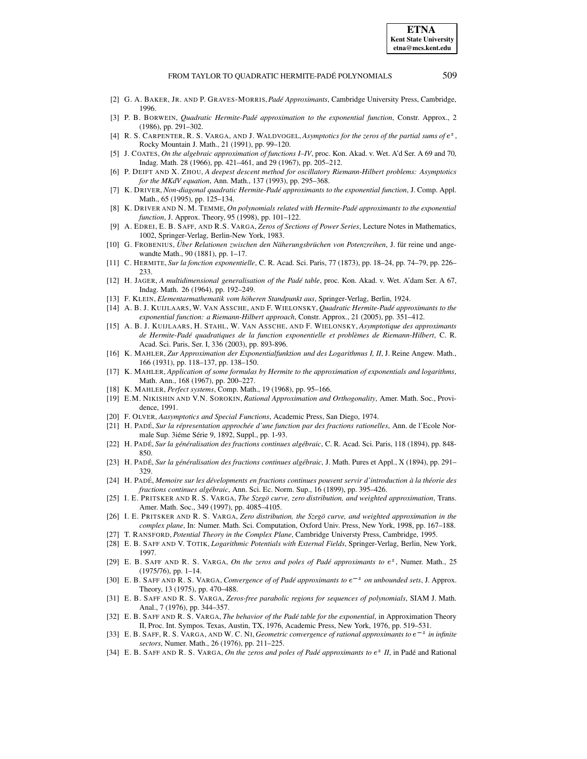- <span id="page-29-23"></span><span id="page-29-17"></span>[2] G. A. BAKER, JR. AND P. GRAVES-MORRIS,*Pade´ Approximants*, Cambridge University Press, Cambridge, 1996.
- <span id="page-29-16"></span>[3] P. B. BORWEIN, *Quadratic Hermite-Pade´ approximation to the exponential function*, Constr. Approx., 2 (1986), pp. 291–302.
- [4] R. S. CARPENTER, R. S. VARGA, AND J. WALDVOGEL, *Asymptotics for the zeros of the partial sums of*  $e^z$ , Rocky Mountain J. Math., 21 (1991), pp. 99–120.
- <span id="page-29-11"></span>[5] J. COATES, *On the algebraic approximation of functions I–IV*, proc. Kon. Akad. v. Wet. A'd Ser. A 69 and 70, Indag. Math. 28 (1966), pp. 421–461, and 29 (1967), pp. 205–212.
- <span id="page-29-28"></span>[6] P. DEIFT AND X. ZHOU, *A deepest descent method for oscillatory Riemann-Hilbert problems: Asymptotics for the MKdV equation*, Ann. Math., 137 (1993), pp. 295–368.
- <span id="page-29-24"></span>[7] K. DRIVER, *Non-diagonal quadratic Hermite-Pade´ approximants to the exponential function*, J. Comp. Appl. Math., 65 (1995), pp. 125–134.
- <span id="page-29-25"></span>[8] K. DRIVER AND N. M. TEMME, *On polynomials related with Hermite-Pade´ approximants to the exponential function*, J. Approx. Theory, 95 (1998), pp. 101–122.
- <span id="page-29-13"></span>[9] A. EDREI, E. B. SAFF, AND R.S. VARGA, *Zeros of Sections of Power Series*, Lecture Notes in Mathematics, 1002, Springer-Verlag, Berlin-New York, 1983.
- <span id="page-29-4"></span>[10] G. FROBENIUS, *Uber ¨ Relationen zwischen den Naherungsbr ¨ uc¨ hen von Potenzreihen*, J. fur¨ reine und angewandte Math., 90 (1881), pp. 1–17.
- <span id="page-29-10"></span><span id="page-29-5"></span>[11] C. HERMITE, *Sur la fonction exponentielle*, C. R. Acad. Sci. Paris, 77 (1873), pp. 18–24, pp. 74–79, pp. 226– 233.
- [12] H. JAGER, *A multidimensional generalisation of the Pade´ table*, proc. Kon. Akad. v. Wet. A'dam Ser. A 67, Indag. Math. 26 (1964), pp. 192–249.
- <span id="page-29-26"></span><span id="page-29-6"></span>[13] F. KLEIN, *Elementarmathematik vom hoher ¨ en Standpunkt aus*, Springer-Verlag, Berlin, 1924.
- [14] A. B. J. KUIJLAARS, W. VAN ASSCHE, AND F. WIELONSKY, *Quadratic Hermite-Pade´ approximants to the exponential function: a Riemann-Hilbert approach*, Constr. Approx., 21 (2005), pp. 351–412.
- <span id="page-29-27"></span>[15] A. B. J. KUIJLAARS, H. STAHL, W. VAN ASSCHE, AND F. WIELONSKY, *Asymptotique des approximants de Hermite-Pade´ quadratiques de la function exponentielle et problemes ` de Riemann-Hilbert*, C. R. Acad. Sci. Paris, Ser. I, 336 (2003), pp. 893-896.
- <span id="page-29-7"></span>[16] K. MAHLER, *Zur Approximation der Exponentialfunktion und des Logarithmus I, II*, J. Reine Angew. Math., 166 (1931), pp. 118–137, pp. 138–150.
- <span id="page-29-8"></span>[17] K. MAHLER, *Application of some formulas by Hermite to the approximation of exponentials and logarithms*, Math. Ann., 168 (1967), pp. 200–227.
- <span id="page-29-12"></span><span id="page-29-9"></span>[18] K. MAHLER, *Perfect systems*, Comp. Math., 19 (1968), pp. 95–166.
- [19] E.M. NIKISHIN AND V.N. SOROKIN, *Rational Approximation and Orthogonality*, Amer. Math. Soc., Providence, 1991.
- <span id="page-29-30"></span><span id="page-29-3"></span>[20] F. OLVER, *Aasymptotics and Special Functions*, Academic Press, San Diego, 1974.
- [21] H. PADE´, *Sur la repr ´ esentation approchee´ d'une function par des fractions rationelles*, Ann. de l'Ecole Normale Sup. 3iéme Série 9, 1892, Suppl., pp. 1-93.
- <span id="page-29-18"></span>[22] H. PADE´, *Sur la gen´ er´ alisation des fractions continues algebr ´ aic*, C. R. Acad. Sci. Paris, 118 (1894), pp. 848- 850.
- <span id="page-29-19"></span>[23] H. PADE´, *Sur la gen´ er´ alisation des fractions continues algebr ´ aic*, J. Math. Pures et Appl., X (1894), pp. 291– 329.
- <span id="page-29-20"></span>[24] H. PADÉ, Memoire sur les dévelopments en fractions continues pouvent servir d'introduction à la théorie des *fractions continues algebr ´ aic*, Ann. Sci. Ec. Norm. Sup., 16 (1899), pp. 395–426.
- <span id="page-29-14"></span>[25] I. E. PRITSKER AND R. S. VARGA, *The Szego¨ curve, zero distribution, and weighted approximation*, Trans. Amer. Math. Soc., 349 (1997), pp. 4085–4105.
- <span id="page-29-15"></span>[26] I. E. PRITSKER AND R. S. VARGA, *Zero distribution, the Szego¨ curve, and weighted approximation in the complex plane*, In: Numer. Math. Sci. Computation, Oxford Univ. Press, New York, 1998, pp. 167–188.
- <span id="page-29-29"></span>[27] T. RANSFORD, *Potential Theory in the Complex Plane*, Cambridge Universty Press, Cambridge, 1995.
- <span id="page-29-0"></span>[28] E. B. SAFF AND V. TOTIK, *Logarithmic Potentials with External Fields*, Springer-Verlag, Berlin, New York, 1997.
- [29] E. B. SAFF AND R. S. VARGA, *On the zeros and poles of Padé approximants to*  $e^z$ , Numer. Math., 25 (1975/76), pp. 1–14.
- <span id="page-29-21"></span>[30] E. B. SAFF AND R. S. VARGA, *Convergence of of Padé approximants to*  $e^{-z}$  *on unbounded sets*, J. Approx. Theory, 13 (1975), pp. 470–488.
- [31] E. B. SAFF AND R. S. VARGA, *Zeros-free parabolic regions for sequences of polynomials*, SIAM J. Math. Anal., 7 (1976), pp. 344–357.
- <span id="page-29-1"></span>[32] E. B. SAFF AND R. S. VARGA, *The behavior of the Pade´ table for the exponential*, in Approximation Theory II, Proc. Int. Sympos. Texas, Austin, TX, 1976, Academic Press, New York, 1976, pp. 519–531.
- <span id="page-29-22"></span>[33] E. B. SAFF, R. S. VARGA, AND W. C. NI, *Geometric convergence of rational approximants to*  $e^{-z}$  *in infinite sectors*, Numer. Math., 26 (1976), pp. 211–225.
- <span id="page-29-2"></span>[34] E. B. SAFF AND R. S. VARGA, On the zeros and poles of Padé approximants to  $e^z$  II, in Padé and Rational

**ETNA Kent State University etna@mcs.kent.edu**